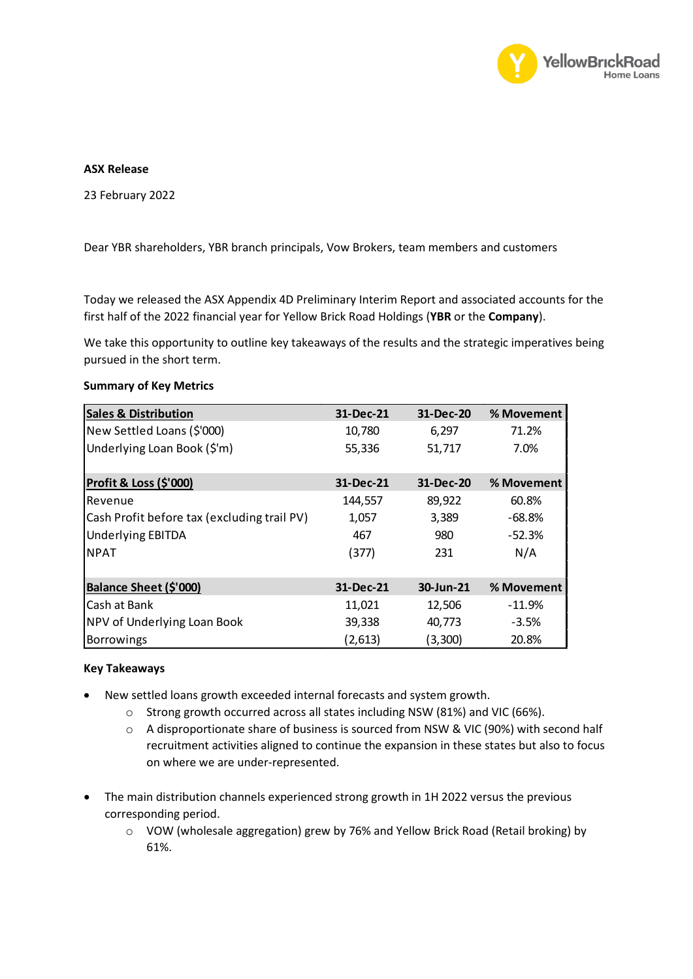

## **ASX Release**

23 February 2022

Dear YBR shareholders, YBR branch principals, Vow Brokers, team members and customers

Today we released the ASX Appendix 4D Preliminary Interim Report and associated accounts for the first half of the 2022 financial year for Yellow Brick Road Holdings (**YBR** or the **Company**).

We take this opportunity to outline key takeaways of the results and the strategic imperatives being pursued in the short term.

| <b>Sales &amp; Distribution</b>             | 31-Dec-21 | 31-Dec-20 | % Movement |
|---------------------------------------------|-----------|-----------|------------|
| New Settled Loans (\$'000)                  | 10,780    | 6,297     | 71.2%      |
| Underlying Loan Book (\$'m)                 | 55,336    | 51,717    | 7.0%       |
|                                             |           |           |            |
| Profit & Loss (\$'000)                      | 31-Dec-21 | 31-Dec-20 | % Movement |
| Revenue                                     | 144,557   | 89,922    | 60.8%      |
| Cash Profit before tax (excluding trail PV) | 1,057     | 3,389     | $-68.8%$   |
| <b>Underlying EBITDA</b>                    | 467       | 980       | $-52.3%$   |
| <b>NPAT</b>                                 | (377)     | 231       | N/A        |
|                                             |           |           |            |
| Balance Sheet (\$'000)                      | 31-Dec-21 | 30-Jun-21 | % Movement |
| Cash at Bank                                | 11,021    | 12,506    | $-11.9%$   |
| NPV of Underlying Loan Book                 | 39,338    | 40,773    | $-3.5%$    |
| <b>Borrowings</b>                           | (2,613)   | (3,300)   | 20.8%      |

## **Summary of Key Metrics**

## **Key Takeaways**

- New settled loans growth exceeded internal forecasts and system growth.
	- o Strong growth occurred across all states including NSW (81%) and VIC (66%).
	- o A disproportionate share of business is sourced from NSW & VIC (90%) with second half recruitment activities aligned to continue the expansion in these states but also to focus on where we are under-represented.
- The main distribution channels experienced strong growth in 1H 2022 versus the previous corresponding period.
	- o VOW (wholesale aggregation) grew by 76% and Yellow Brick Road (Retail broking) by 61%.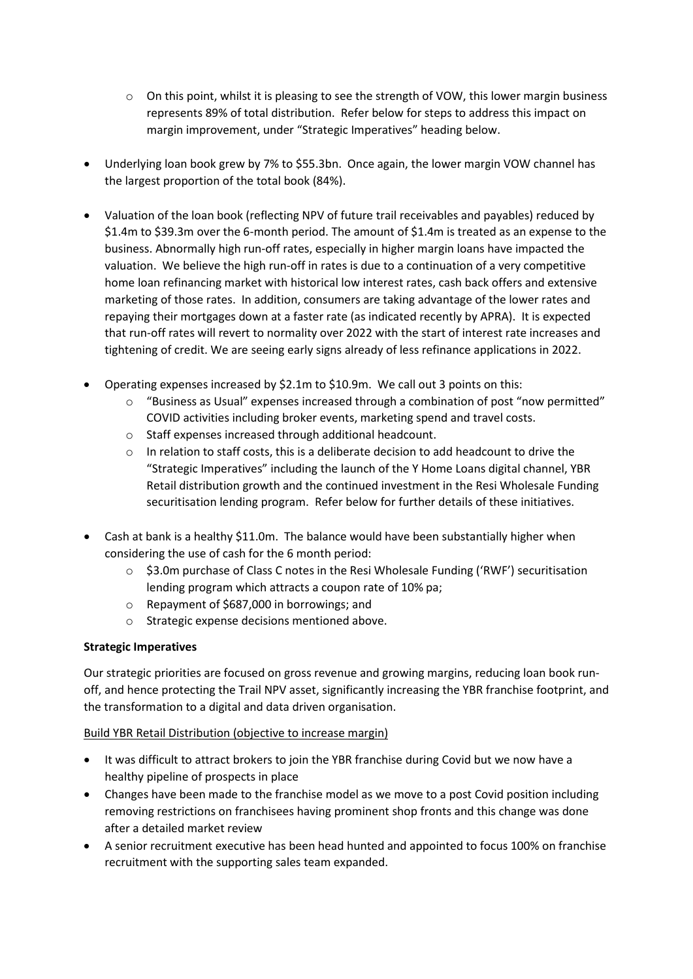- $\circ$  On this point, whilst it is pleasing to see the strength of VOW, this lower margin business represents 89% of total distribution. Refer below for steps to address this impact on margin improvement, under "Strategic Imperatives" heading below.
- Underlying loan book grew by 7% to \$55.3bn. Once again, the lower margin VOW channel has the largest proportion of the total book (84%).
- Valuation of the loan book (reflecting NPV of future trail receivables and payables) reduced by \$1.4m to \$39.3m over the 6-month period. The amount of \$1.4m is treated as an expense to the business. Abnormally high run-off rates, especially in higher margin loans have impacted the valuation. We believe the high run-off in rates is due to a continuation of a very competitive home loan refinancing market with historical low interest rates, cash back offers and extensive marketing of those rates. In addition, consumers are taking advantage of the lower rates and repaying their mortgages down at a faster rate (as indicated recently by APRA). It is expected that run-off rates will revert to normality over 2022 with the start of interest rate increases and tightening of credit. We are seeing early signs already of less refinance applications in 2022.
- Operating expenses increased by \$2.1m to \$10.9m. We call out 3 points on this:
	- $\circ$  "Business as Usual" expenses increased through a combination of post "now permitted" COVID activities including broker events, marketing spend and travel costs.
	- o Staff expenses increased through additional headcount.
	- o In relation to staff costs, this is a deliberate decision to add headcount to drive the "Strategic Imperatives" including the launch of the Y Home Loans digital channel, YBR Retail distribution growth and the continued investment in the Resi Wholesale Funding securitisation lending program. Refer below for further details of these initiatives.
- Cash at bank is a healthy \$11.0m. The balance would have been substantially higher when considering the use of cash for the 6 month period:
	- $\circ$  \$3.0m purchase of Class C notes in the Resi Wholesale Funding ('RWF') securitisation lending program which attracts a coupon rate of 10% pa;
	- o Repayment of \$687,000 in borrowings; and
	- o Strategic expense decisions mentioned above.

## **Strategic Imperatives**

Our strategic priorities are focused on gross revenue and growing margins, reducing loan book runoff, and hence protecting the Trail NPV asset, significantly increasing the YBR franchise footprint, and the transformation to a digital and data driven organisation.

## Build YBR Retail Distribution (objective to increase margin)

- It was difficult to attract brokers to join the YBR franchise during Covid but we now have a healthy pipeline of prospects in place
- Changes have been made to the franchise model as we move to a post Covid position including removing restrictions on franchisees having prominent shop fronts and this change was done after a detailed market review
- A senior recruitment executive has been head hunted and appointed to focus 100% on franchise recruitment with the supporting sales team expanded.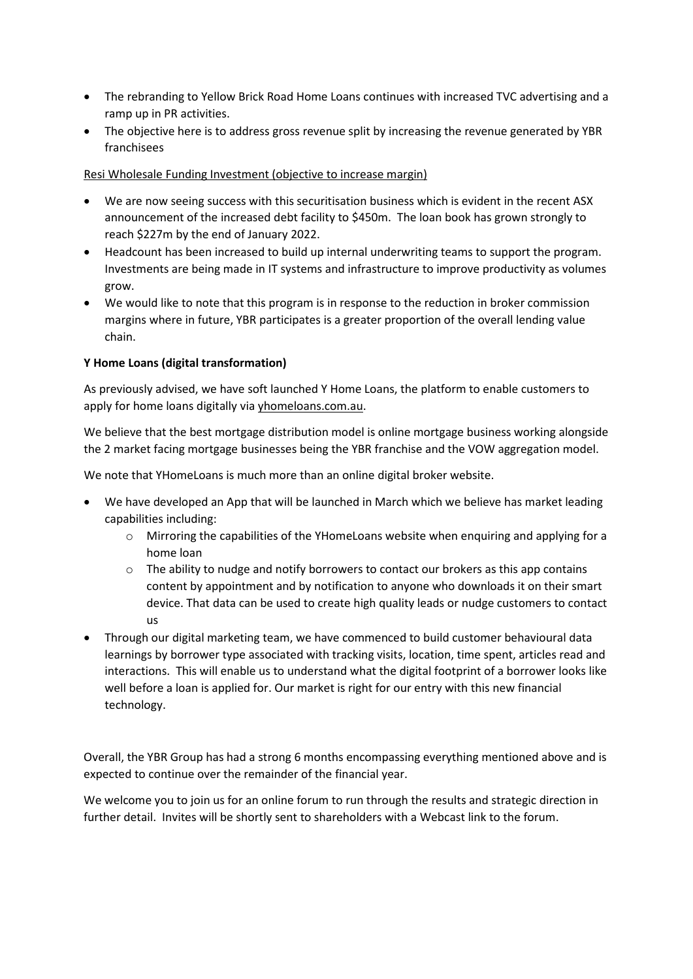- The rebranding to Yellow Brick Road Home Loans continues with increased TVC advertising and a ramp up in PR activities.
- The objective here is to address gross revenue split by increasing the revenue generated by YBR franchisees

Resi Wholesale Funding Investment (objective to increase margin)

- We are now seeing success with this securitisation business which is evident in the recent ASX announcement of the increased debt facility to \$450m. The loan book has grown strongly to reach \$227m by the end of January 2022.
- Headcount has been increased to build up internal underwriting teams to support the program. Investments are being made in IT systems and infrastructure to improve productivity as volumes grow.
- We would like to note that this program is in response to the reduction in broker commission margins where in future, YBR participates is a greater proportion of the overall lending value chain.

## **Y Home Loans (digital transformation)**

As previously advised, we have soft launched Y Home Loans, the platform to enable customers to apply for home loans digitally via yhomeloans.com.au.

We believe that the best mortgage distribution model is online mortgage business working alongside the 2 market facing mortgage businesses being the YBR franchise and the VOW aggregation model.

We note that YHomeLoans is much more than an online digital broker website.

- We have developed an App that will be launched in March which we believe has market leading capabilities including:
	- $\circ$  Mirroring the capabilities of the YHomeLoans website when enquiring and applying for a home loan
	- $\circ$  The ability to nudge and notify borrowers to contact our brokers as this app contains content by appointment and by notification to anyone who downloads it on their smart device. That data can be used to create high quality leads or nudge customers to contact us
- Through our digital marketing team, we have commenced to build customer behavioural data learnings by borrower type associated with tracking visits, location, time spent, articles read and interactions. This will enable us to understand what the digital footprint of a borrower looks like well before a loan is applied for. Our market is right for our entry with this new financial technology.

Overall, the YBR Group has had a strong 6 months encompassing everything mentioned above and is expected to continue over the remainder of the financial year.

We welcome you to join us for an online forum to run through the results and strategic direction in further detail. Invites will be shortly sent to shareholders with a Webcast link to the forum.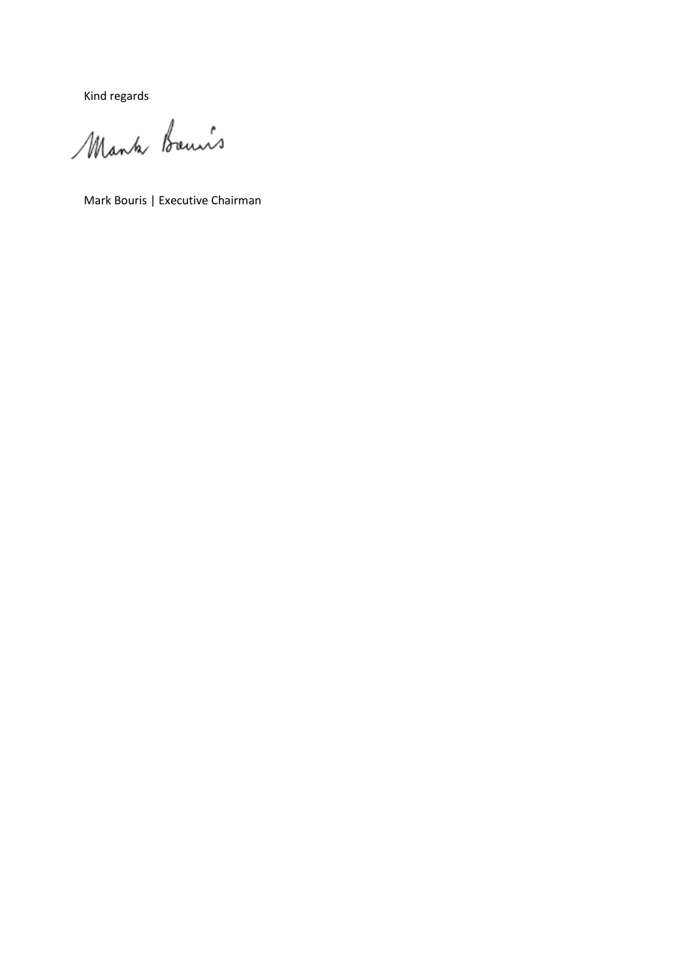Kind regards

Mank Bouis

Mark Bouris | Executive Chairman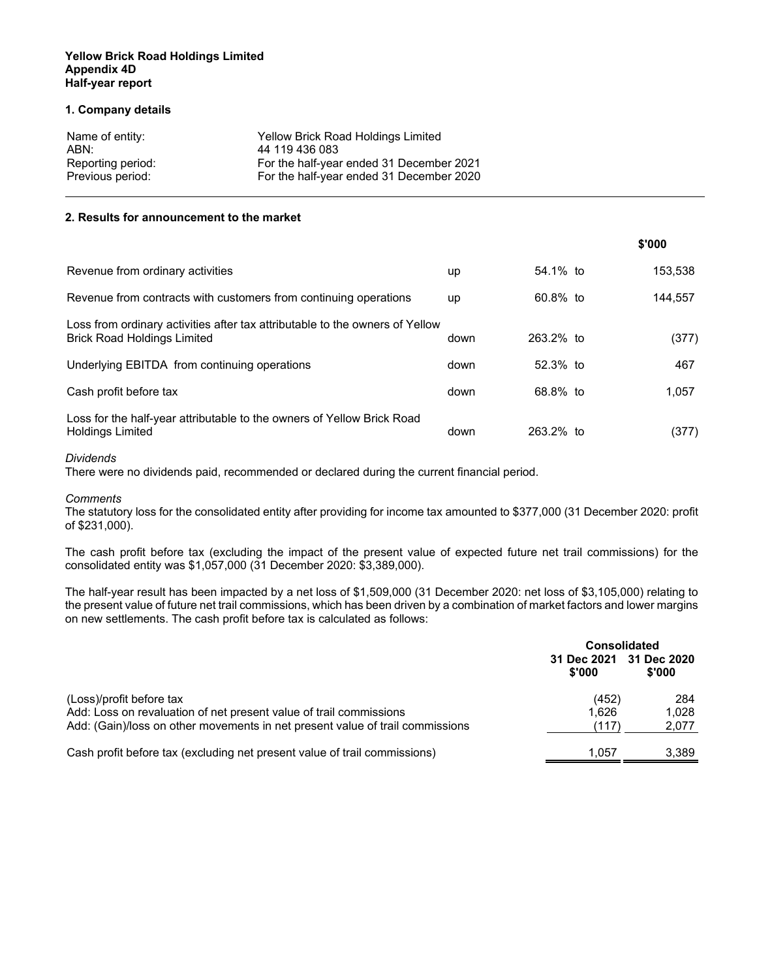#### **1. Company details**

| Name of entity:   | Yellow Brick Road Holdings Limited       |
|-------------------|------------------------------------------|
| ABN:              | 44 119 436 083                           |
| Reporting period: | For the half-year ended 31 December 2021 |
| Previous period:  | For the half-year ended 31 December 2020 |

#### **2. Results for announcement to the market**

|                                                                                                                    |      |              | \$'000  |
|--------------------------------------------------------------------------------------------------------------------|------|--------------|---------|
| Revenue from ordinary activities                                                                                   | up   | 54.1% to     | 153,538 |
| Revenue from contracts with customers from continuing operations                                                   | up   | 60.8% to     | 144.557 |
| Loss from ordinary activities after tax attributable to the owners of Yellow<br><b>Brick Road Holdings Limited</b> | down | $263.2\%$ to | (377)   |
| Underlying EBITDA from continuing operations                                                                       | down | $52.3%$ to   | 467     |
| Cash profit before tax                                                                                             | down | 68.8% to     | 1.057   |
| Loss for the half-year attributable to the owners of Yellow Brick Road<br><b>Holdings Limited</b>                  | down | 263.2% to    | (377)   |

#### *Dividends*

There were no dividends paid, recommended or declared during the current financial period.

#### *Comments*

The statutory loss for the consolidated entity after providing for income tax amounted to \$377,000 (31 December 2020: profit of \$231,000).

The cash profit before tax (excluding the impact of the present value of expected future net trail commissions) for the consolidated entity was \$1,057,000 (31 December 2020: \$3,389,000).

The half-year result has been impacted by a net loss of \$1,509,000 (31 December 2020: net loss of \$3,105,000) relating to the present value of future net trail commissions, which has been driven by a combination of market factors and lower margins on new settlements. The cash profit before tax is calculated as follows:

|                                                                                                | <b>Consolidated</b>   |                       |  |
|------------------------------------------------------------------------------------------------|-----------------------|-----------------------|--|
|                                                                                                | 31 Dec 2021<br>\$'000 | 31 Dec 2020<br>\$'000 |  |
| (Loss)/profit before tax<br>Add: Loss on revaluation of net present value of trail commissions | (452)<br>1.626        | 284<br>1.028          |  |
| Add: (Gain)/loss on other movements in net present value of trail commissions                  | (117)                 | 2,077                 |  |
| Cash profit before tax (excluding net present value of trail commissions)                      | 1.057                 | 3,389                 |  |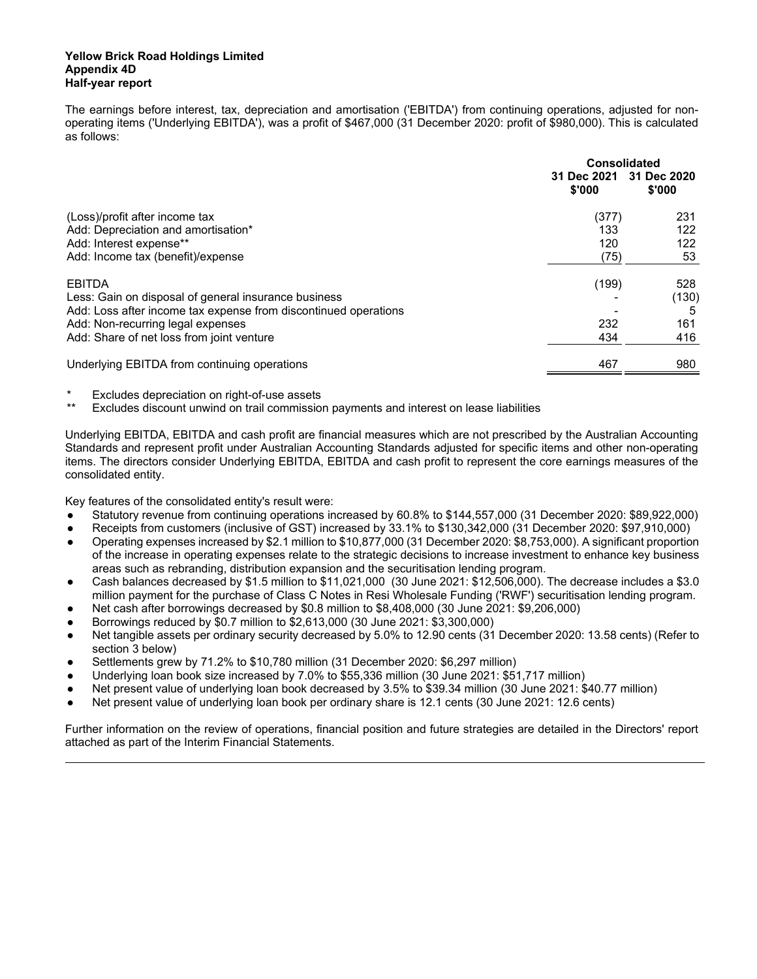The earnings before interest, tax, depreciation and amortisation ('EBITDA') from continuing operations, adjusted for nonoperating items ('Underlying EBITDA'), was a profit of \$467,000 (31 December 2020: profit of \$980,000). This is calculated as follows:

|                                                                 | Consolidated          |                       |  |
|-----------------------------------------------------------------|-----------------------|-----------------------|--|
|                                                                 | 31 Dec 2021<br>\$'000 | 31 Dec 2020<br>\$'000 |  |
| (Loss)/profit after income tax                                  | (377)                 | 231                   |  |
| Add: Depreciation and amortisation*                             | 133                   | 122                   |  |
| Add: Interest expense**                                         | 120                   | 122                   |  |
| Add: Income tax (benefit)/expense                               | (75)                  | 53                    |  |
| <b>EBITDA</b>                                                   | (199)                 | 528                   |  |
| Less: Gain on disposal of general insurance business            |                       | (130)                 |  |
| Add: Loss after income tax expense from discontinued operations |                       | 5                     |  |
| Add: Non-recurring legal expenses                               | 232                   | 161                   |  |
| Add: Share of net loss from joint venture                       | 434                   | 416                   |  |
| Underlying EBITDA from continuing operations                    | 467                   | 980                   |  |

Excludes depreciation on right-of-use assets

Excludes discount unwind on trail commission payments and interest on lease liabilities

Underlying EBITDA, EBITDA and cash profit are financial measures which are not prescribed by the Australian Accounting Standards and represent profit under Australian Accounting Standards adjusted for specific items and other non-operating items. The directors consider Underlying EBITDA, EBITDA and cash profit to represent the core earnings measures of the consolidated entity.

Key features of the consolidated entity's result were:

- Statutory revenue from continuing operations increased by 60.8% to \$144,557,000 (31 December 2020: \$89,922,000)
- Receipts from customers (inclusive of GST) increased by 33.1% to \$130,342,000 (31 December 2020: \$97,910,000)
- Operating expenses increased by \$2.1 million to \$10,877,000 (31 December 2020: \$8,753,000). A significant proportion of the increase in operating expenses relate to the strategic decisions to increase investment to enhance key business areas such as rebranding, distribution expansion and the securitisation lending program.
- Cash balances decreased by \$1.5 million to \$11,021,000 (30 June 2021: \$12,506,000). The decrease includes a \$3.0 million payment for the purchase of Class C Notes in Resi Wholesale Funding ('RWF') securitisation lending program.
- Net cash after borrowings decreased by \$0.8 million to \$8,408,000 (30 June 2021: \$9,206,000)
- Borrowings reduced by \$0.7 million to \$2,613,000 (30 June 2021: \$3,300,000)
- Net tangible assets per ordinary security decreased by 5.0% to 12.90 cents (31 December 2020: 13.58 cents) (Refer to section 3 below)
- Settlements grew by 71.2% to \$10,780 million (31 December 2020: \$6,297 million)
- Underlying loan book size increased by 7.0% to \$55,336 million (30 June 2021: \$51,717 million)
- Net present value of underlying loan book decreased by 3.5% to \$39.34 million (30 June 2021: \$40.77 million)
- Net present value of underlying loan book per ordinary share is 12.1 cents (30 June 2021: 12.6 cents)

Further information on the review of operations, financial position and future strategies are detailed in the Directors' report attached as part of the Interim Financial Statements.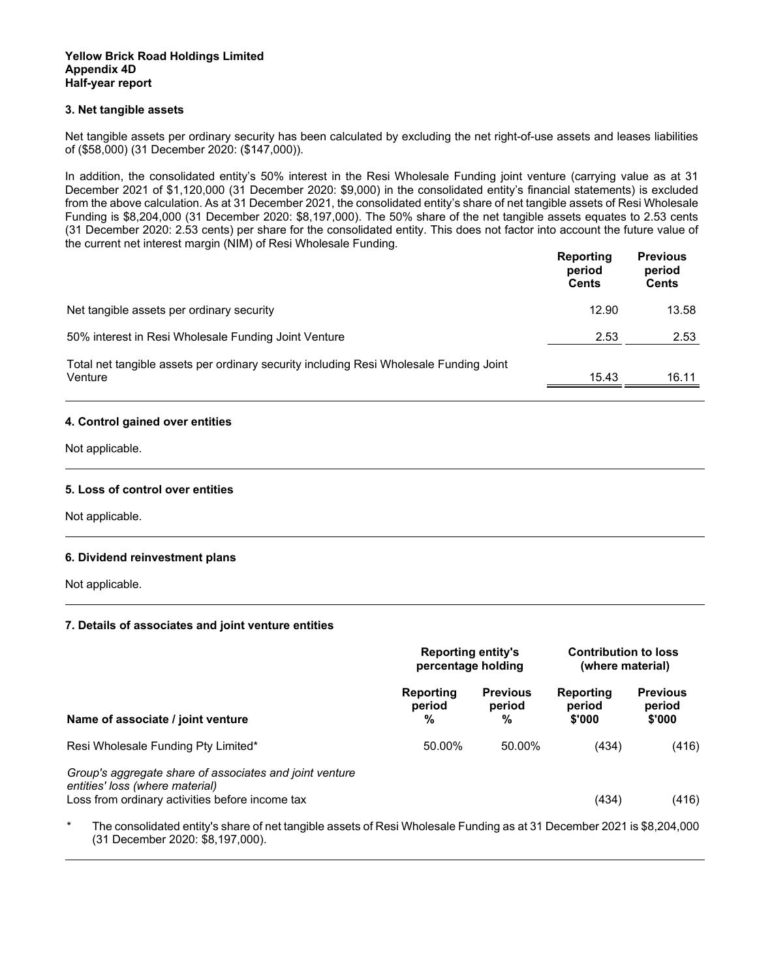#### **3. Net tangible assets**

Net tangible assets per ordinary security has been calculated by excluding the net right-of-use assets and leases liabilities of (\$58,000) (31 December 2020: (\$147,000)).

In addition, the consolidated entity's 50% interest in the Resi Wholesale Funding joint venture (carrying value as at 31 December 2021 of \$1,120,000 (31 December 2020: \$9,000) in the consolidated entity's financial statements) is excluded from the above calculation. As at 31 December 2021, the consolidated entity's share of net tangible assets of Resi Wholesale Funding is \$8,204,000 (31 December 2020: \$8,197,000). The 50% share of the net tangible assets equates to 2.53 cents (31 December 2020: 2.53 cents) per share for the consolidated entity. This does not factor into account the future value of the current net interest margin (NIM) of Resi Wholesale Funding.

|                                                                                                   | Reporting<br>period<br><b>Cents</b> | <b>Previous</b><br>period<br><b>Cents</b> |
|---------------------------------------------------------------------------------------------------|-------------------------------------|-------------------------------------------|
| Net tangible assets per ordinary security                                                         | 12.90                               | 13.58                                     |
| 50% interest in Resi Wholesale Funding Joint Venture                                              | 2.53                                | 2.53                                      |
| Total net tangible assets per ordinary security including Resi Wholesale Funding Joint<br>Venture | 15.43                               | 16.11                                     |

#### **4. Control gained over entities**

Not applicable.

#### **5. Loss of control over entities**

Not applicable.

#### **6. Dividend reinvestment plans**

Not applicable.

#### **7. Details of associates and joint venture entities**

|                                                                                                                                               | <b>Reporting entity's</b><br>percentage holding |                                | <b>Contribution to loss</b><br>(where material) |                                     |
|-----------------------------------------------------------------------------------------------------------------------------------------------|-------------------------------------------------|--------------------------------|-------------------------------------------------|-------------------------------------|
| Name of associate / joint venture                                                                                                             | Reporting<br>period<br>%                        | <b>Previous</b><br>period<br>% | Reporting<br>period<br>\$'000                   | <b>Previous</b><br>period<br>\$'000 |
| Resi Wholesale Funding Pty Limited*                                                                                                           | 50.00%                                          | 50.00%                         | (434)                                           | (416)                               |
| Group's aggregate share of associates and joint venture<br>entities' loss (where material)<br>Loss from ordinary activities before income tax |                                                 |                                | (434)                                           | (416)                               |
| *<br>The consolidated entity's share of net tangible assets of Resi Wholesale Eunding as at 31 December 2021 is \$8,204,000                   |                                                 |                                |                                                 |                                     |

The consolidated entity's share of net tangible assets of Resi Wholesale Funding as at 31 December 2021 is \$8,204,000 (31 December 2020: \$8,197,000).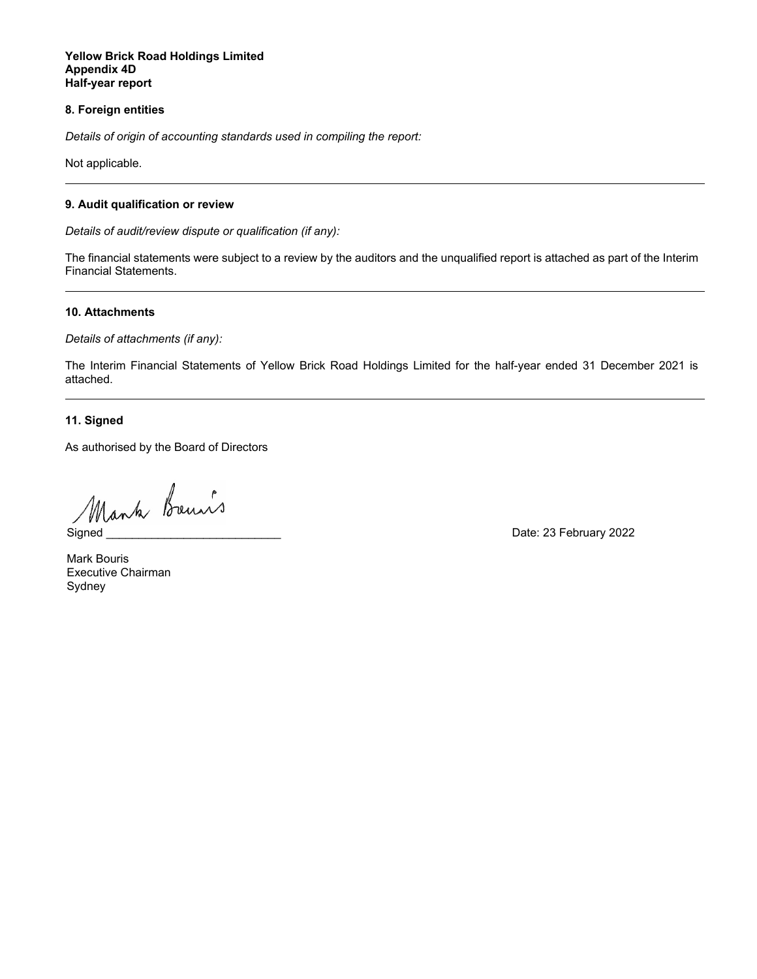#### **8. Foreign entities**

*Details of origin of accounting standards used in compiling the report:* 

Not applicable.

#### **9. Audit qualification or review**

*Details of audit/review dispute or qualification (if any):* 

The financial statements were subject to a review by the auditors and the unqualified report is attached as part of the Interim Financial Statements.

#### **10. Attachments**

*Details of attachments (if any):* 

The Interim Financial Statements of Yellow Brick Road Holdings Limited for the half-year ended 31 December 2021 is attached.

**11. Signed** 

As authorised by the Board of Directors

Mank breuws<br>Signed Date: 23 February 2022

Signed

Mark Bouris Executive Chairman Sydney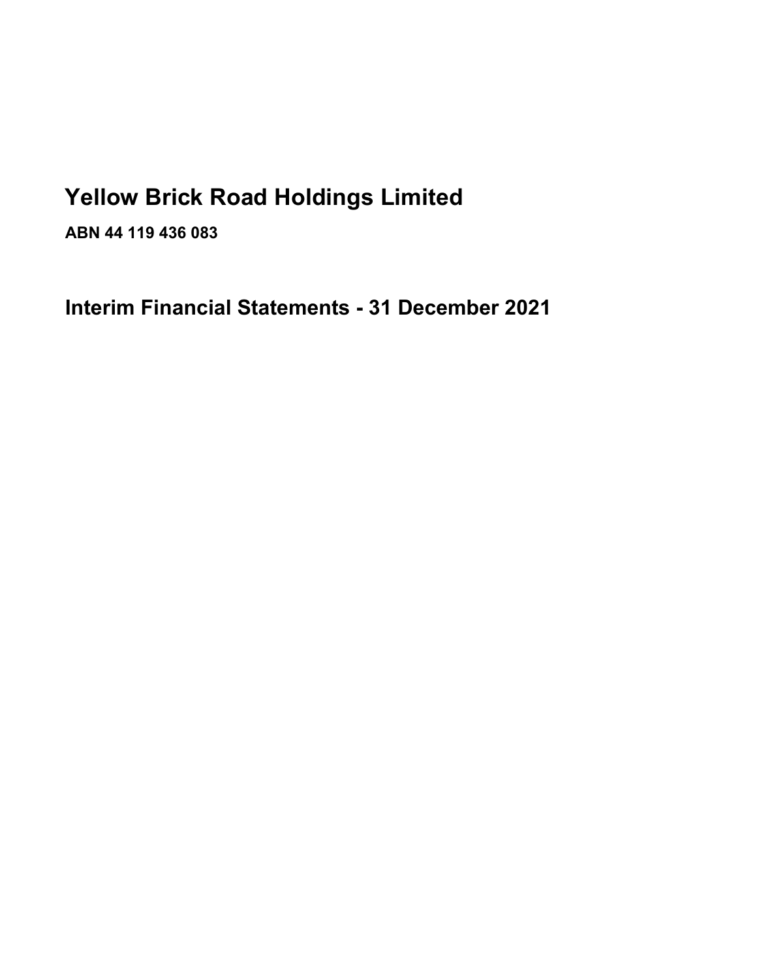# **Yellow Brick Road Holdings Limited**

**ABN 44 119 436 083** 

**Interim Financial Statements - 31 December 2021**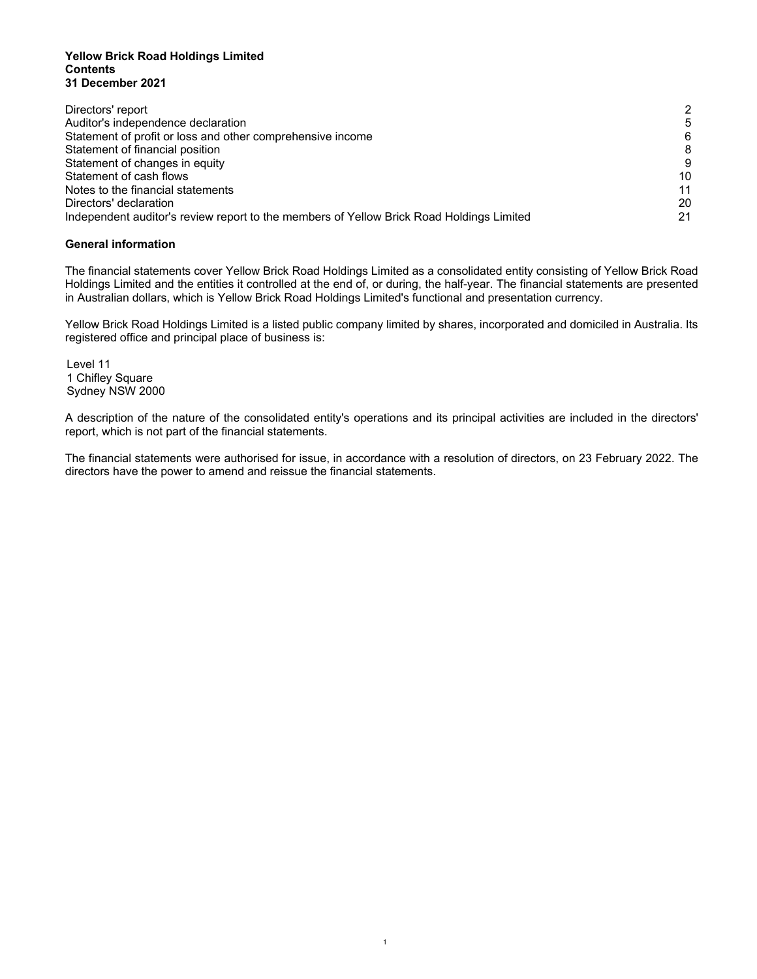#### **Yellow Brick Road Holdings Limited Contents 31 December 2021**

| Directors' report                                                                        | 2  |
|------------------------------------------------------------------------------------------|----|
| Auditor's independence declaration                                                       | 5  |
| Statement of profit or loss and other comprehensive income                               | 6  |
| Statement of financial position                                                          | 8  |
| Statement of changes in equity                                                           | 9  |
| Statement of cash flows                                                                  | 10 |
| Notes to the financial statements                                                        | 11 |
| Directors' declaration                                                                   | 20 |
| Independent auditor's review report to the members of Yellow Brick Road Holdings Limited | 21 |

#### **General information**

The financial statements cover Yellow Brick Road Holdings Limited as a consolidated entity consisting of Yellow Brick Road Holdings Limited and the entities it controlled at the end of, or during, the half-year. The financial statements are presented in Australian dollars, which is Yellow Brick Road Holdings Limited's functional and presentation currency.

Yellow Brick Road Holdings Limited is a listed public company limited by shares, incorporated and domiciled in Australia. Its registered office and principal place of business is:

Level 11 1 Chifley Square Sydney NSW 2000

A description of the nature of the consolidated entity's operations and its principal activities are included in the directors' report, which is not part of the financial statements.

The financial statements were authorised for issue, in accordance with a resolution of directors, on 23 February 2022. The directors have the power to amend and reissue the financial statements.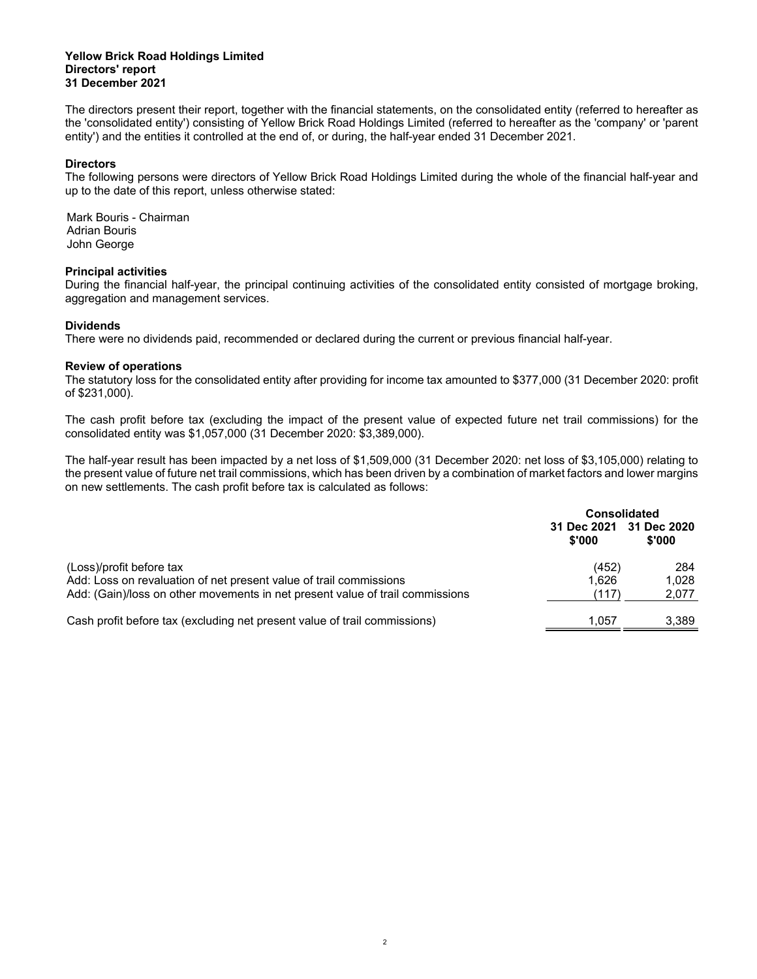#### **Yellow Brick Road Holdings Limited Directors' report 31 December 2021**

The directors present their report, together with the financial statements, on the consolidated entity (referred to hereafter as the 'consolidated entity') consisting of Yellow Brick Road Holdings Limited (referred to hereafter as the 'company' or 'parent entity') and the entities it controlled at the end of, or during, the half-year ended 31 December 2021.

#### **Directors**

The following persons were directors of Yellow Brick Road Holdings Limited during the whole of the financial half-year and up to the date of this report, unless otherwise stated:

Mark Bouris - Chairman Adrian Bouris John George

#### **Principal activities**

During the financial half-year, the principal continuing activities of the consolidated entity consisted of mortgage broking, aggregation and management services.

#### **Dividends**

There were no dividends paid, recommended or declared during the current or previous financial half-year.

#### **Review of operations**

The statutory loss for the consolidated entity after providing for income tax amounted to \$377,000 (31 December 2020: profit of \$231,000).

The cash profit before tax (excluding the impact of the present value of expected future net trail commissions) for the consolidated entity was \$1,057,000 (31 December 2020: \$3,389,000).

The half-year result has been impacted by a net loss of \$1,509,000 (31 December 2020: net loss of \$3,105,000) relating to the present value of future net trail commissions, which has been driven by a combination of market factors and lower margins on new settlements. The cash profit before tax is calculated as follows:

|                                                                                                                                                                                 | <b>Consolidated</b>               |                       |  |
|---------------------------------------------------------------------------------------------------------------------------------------------------------------------------------|-----------------------------------|-----------------------|--|
|                                                                                                                                                                                 | 31 Dec 2021 31 Dec 2020<br>\$'000 | \$'000                |  |
| (Loss)/profit before tax<br>Add: Loss on revaluation of net present value of trail commissions<br>Add: (Gain)/loss on other movements in net present value of trail commissions | (452)<br>1.626<br>(117)           | 284<br>1.028<br>2.077 |  |
| Cash profit before tax (excluding net present value of trail commissions)                                                                                                       | 1.057                             | 3.389                 |  |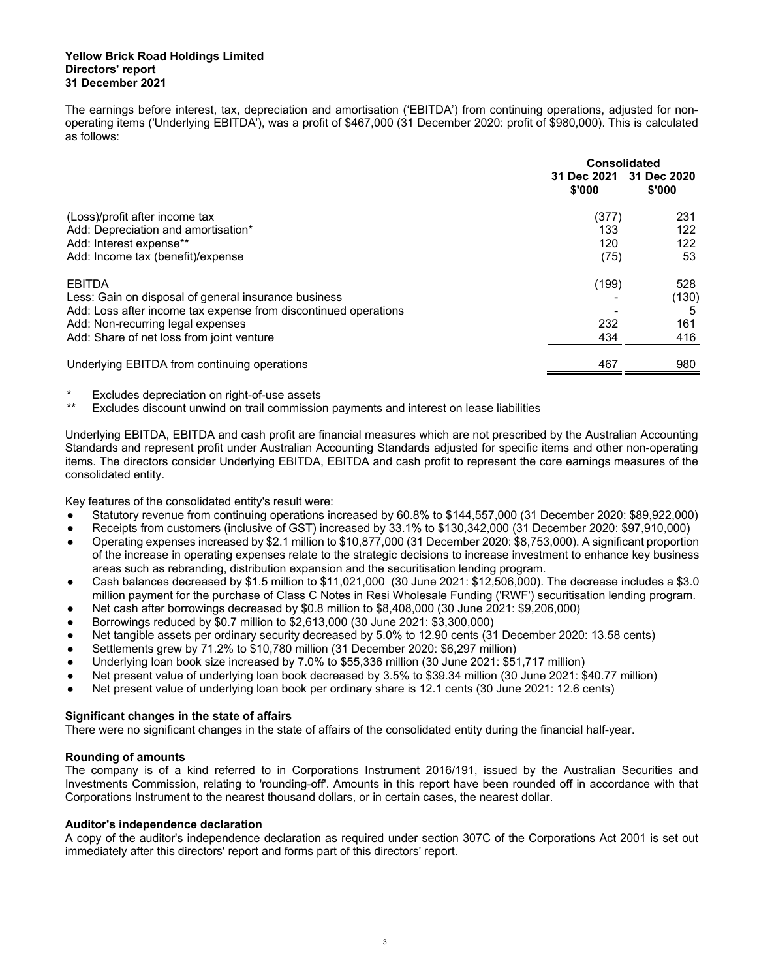#### **Yellow Brick Road Holdings Limited Directors' report 31 December 2021**

The earnings before interest, tax, depreciation and amortisation ('EBITDA') from continuing operations, adjusted for nonoperating items ('Underlying EBITDA'), was a profit of \$467,000 (31 December 2020: profit of \$980,000). This is calculated as follows:

|                                                                 | <b>Consolidated</b>   |                       |  |
|-----------------------------------------------------------------|-----------------------|-----------------------|--|
|                                                                 | 31 Dec 2021<br>\$'000 | 31 Dec 2020<br>\$'000 |  |
| (Loss)/profit after income tax                                  | (377)                 | 231                   |  |
| Add: Depreciation and amortisation*                             | 133                   | 122                   |  |
| Add: Interest expense**                                         | 120                   | 122                   |  |
| Add: Income tax (benefit)/expense                               | (75)                  | 53                    |  |
| EBITDA                                                          | (199)                 | 528                   |  |
| Less: Gain on disposal of general insurance business            |                       | (130)                 |  |
| Add: Loss after income tax expense from discontinued operations |                       |                       |  |
| Add: Non-recurring legal expenses                               | 232                   | 161                   |  |
| Add: Share of net loss from joint venture                       | 434                   | 416                   |  |
| Underlying EBITDA from continuing operations                    | 467                   | 980                   |  |

Excludes depreciation on right-of-use assets

Excludes discount unwind on trail commission payments and interest on lease liabilities

Underlying EBITDA, EBITDA and cash profit are financial measures which are not prescribed by the Australian Accounting Standards and represent profit under Australian Accounting Standards adjusted for specific items and other non-operating items. The directors consider Underlying EBITDA, EBITDA and cash profit to represent the core earnings measures of the consolidated entity.

Key features of the consolidated entity's result were:

- Statutory revenue from continuing operations increased by 60.8% to \$144,557,000 (31 December 2020: \$89,922,000)
- Receipts from customers (inclusive of GST) increased by 33.1% to \$130,342,000 (31 December 2020: \$97,910,000)
- Operating expenses increased by \$2.1 million to \$10,877,000 (31 December 2020: \$8,753,000). A significant proportion of the increase in operating expenses relate to the strategic decisions to increase investment to enhance key business areas such as rebranding, distribution expansion and the securitisation lending program.
- Cash balances decreased by \$1.5 million to \$11,021,000 (30 June 2021: \$12,506,000). The decrease includes a \$3.0 million payment for the purchase of Class C Notes in Resi Wholesale Funding ('RWF') securitisation lending program.
- Net cash after borrowings decreased by \$0.8 million to \$8,408,000 (30 June 2021: \$9,206,000)
- Borrowings reduced by \$0.7 million to \$2,613,000 (30 June 2021: \$3,300,000)
- Net tangible assets per ordinary security decreased by 5.0% to 12.90 cents (31 December 2020: 13.58 cents)
- Settlements grew by 71.2% to \$10,780 million (31 December 2020: \$6,297 million)
- Underlying loan book size increased by 7.0% to \$55,336 million (30 June 2021: \$51,717 million)
- Net present value of underlying loan book decreased by 3.5% to \$39.34 million (30 June 2021: \$40.77 million)
- Net present value of underlying loan book per ordinary share is 12.1 cents (30 June 2021: 12.6 cents)

#### **Significant changes in the state of affairs**

There were no significant changes in the state of affairs of the consolidated entity during the financial half-year.

#### **Rounding of amounts**

The company is of a kind referred to in Corporations Instrument 2016/191, issued by the Australian Securities and Investments Commission, relating to 'rounding-off'. Amounts in this report have been rounded off in accordance with that Corporations Instrument to the nearest thousand dollars, or in certain cases, the nearest dollar.

#### **Auditor's independence declaration**

A copy of the auditor's independence declaration as required under section 307C of the Corporations Act 2001 is set out immediately after this directors' report and forms part of this directors' report.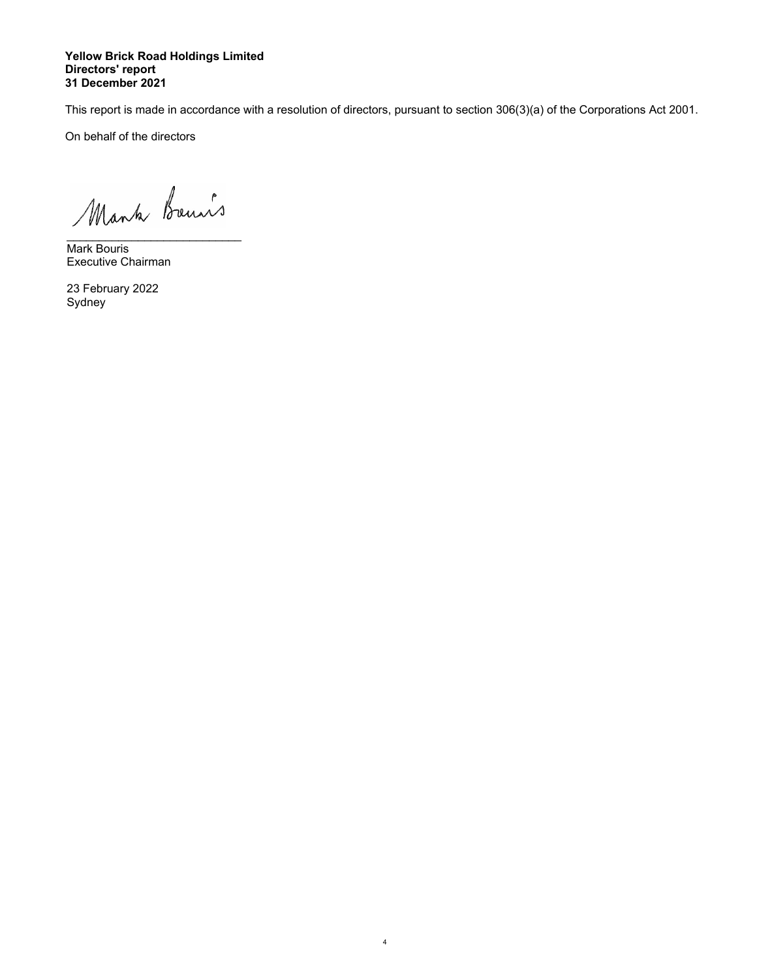#### **Yellow Brick Road Holdings Limited Directors' report 31 December 2021**

This report is made in accordance with a resolution of directors, pursuant to section 306(3)(a) of the Corporations Act 2001.

 4

On behalf of the directors

\_\_\_\_\_\_\_\_\_\_\_\_\_\_\_\_\_\_\_\_\_\_\_\_\_\_\_ Mark Bouris Executive Chairman

23 February 2022 Sydney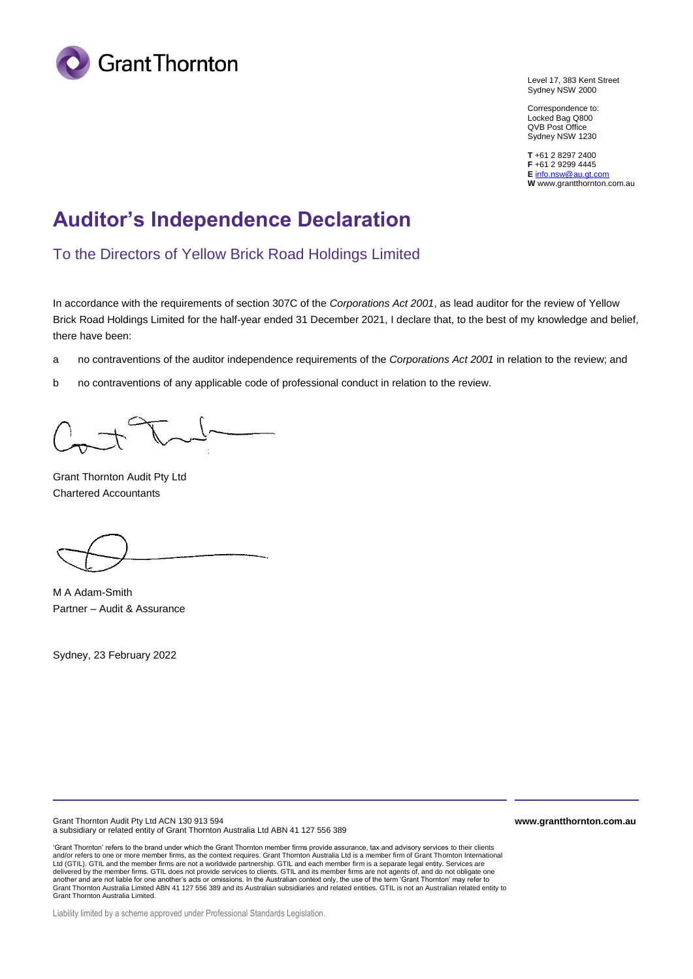

Level 17, 383 Kent Street Sydney NSW 2000

Correspondence to: Locked Bag Q800 QVB Post Office Sydney NSW 1230

**T** +61 2 8297 2400 **F** +61 2 9299 4445 **E** [info.nsw@au.gt.com](mailto:info.nsw@au.gt.com) **W** www.grantthornton.com.au

## **Auditor's Independence Declaration**

To the Directors of Yellow Brick Road Holdings Limited

In accordance with the requirements of section 307C of the *Corporations Act 2001*, as lead auditor for the review of Yellow Brick Road Holdings Limited for the half-year ended 31 December 2021, I declare that, to the best of my knowledge and belief, there have been:

- a no contraventions of the auditor independence requirements of the *Corporations Act 2001* in relation to the review; and
- b no contraventions of any applicable code of professional conduct in relation to the review.

Grant Thornton Audit Pty Ltd Chartered Accountants

M A Adam-Smith Partner – Audit & Assurance

Sydney, 23 February 2022

Grant Thornton Audit Pty Ltd ACN 130 913 594 a subsidiary or related entity of Grant Thornton Australia Ltd ABN 41 127 556 389

'Grant Thornton' refers to the brand under which the Grant Thornton member firms provide assurance, tax and advisory services to their clients and/or refers to one or more member firms, as the context requires. Grant Thornton Australia Ltd is a member firm of Grant Thornton International<br>Ltd (GTIL). GTIL and the member firms are not a worldwide partnership. GTIL another and are not liable for one another's acts or omissions. In the Australian context only, the use of the term 'Grant Thornton' may refer to Grant Thornton Australia Limited ABN 41 127 556 389 and its Australian subsidiaries and related entities. GTIL is not an Australian related entity to Grant Thornton Australia Limited.

Liability limited by a scheme approved under Professional Standards Legislation.

**www.grantthornton.com.au**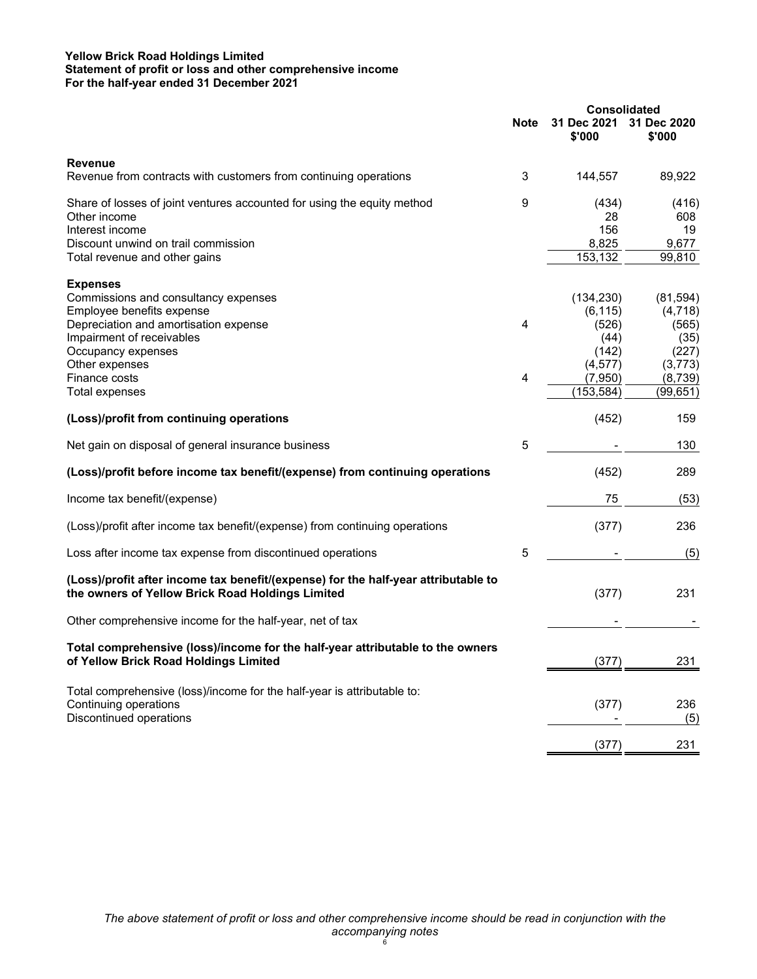#### **Yellow Brick Road Holdings Limited Statement of profit or loss and other comprehensive income For the half-year ended 31 December 2021**

|                                                                                                                                        |             | <b>Consolidated</b>   |                       |
|----------------------------------------------------------------------------------------------------------------------------------------|-------------|-----------------------|-----------------------|
|                                                                                                                                        | <b>Note</b> | 31 Dec 2021<br>\$'000 | 31 Dec 2020<br>\$'000 |
| <b>Revenue</b><br>Revenue from contracts with customers from continuing operations                                                     | 3           | 144,557               | 89,922                |
|                                                                                                                                        |             |                       |                       |
| Share of losses of joint ventures accounted for using the equity method                                                                | 9           | (434)                 | (416)                 |
| Other income                                                                                                                           |             | 28                    | 608                   |
| Interest income                                                                                                                        |             | 156                   | 19                    |
| Discount unwind on trail commission                                                                                                    |             | 8,825                 | 9,677                 |
| Total revenue and other gains                                                                                                          |             | 153,132               | 99,810                |
| <b>Expenses</b>                                                                                                                        |             |                       |                       |
| Commissions and consultancy expenses                                                                                                   |             | (134, 230)            | (81, 594)             |
| Employee benefits expense                                                                                                              |             | (6, 115)              | (4,718)               |
| Depreciation and amortisation expense                                                                                                  | 4           | (526)                 | (565)                 |
| Impairment of receivables                                                                                                              |             | (44)                  | (35)                  |
| Occupancy expenses                                                                                                                     |             | (142)                 | (227)                 |
| Other expenses                                                                                                                         |             | (4, 577)              | (3, 773)              |
| Finance costs                                                                                                                          | 4           | (7,950)               | (8,739)               |
| Total expenses                                                                                                                         |             | (153, 584)            | (99, 651)             |
| (Loss)/profit from continuing operations                                                                                               |             | (452)                 | 159                   |
| Net gain on disposal of general insurance business                                                                                     | 5           |                       | 130                   |
| (Loss)/profit before income tax benefit/(expense) from continuing operations                                                           |             | (452)                 | 289                   |
| Income tax benefit/(expense)                                                                                                           |             | 75                    | (53)                  |
| (Loss)/profit after income tax benefit/(expense) from continuing operations                                                            |             | (377)                 | 236                   |
| Loss after income tax expense from discontinued operations                                                                             | 5           |                       | (5)                   |
| (Loss)/profit after income tax benefit/(expense) for the half-year attributable to<br>the owners of Yellow Brick Road Holdings Limited |             | (377)                 | 231                   |
| Other comprehensive income for the half-year, net of tax                                                                               |             |                       |                       |
| Total comprehensive (loss)/income for the half-year attributable to the owners<br>of Yellow Brick Road Holdings Limited                |             | (377)                 | 231                   |
| Total comprehensive (loss)/income for the half-year is attributable to:<br>Continuing operations                                       |             | (377)                 | 236                   |
| Discontinued operations                                                                                                                |             |                       | (5)                   |
|                                                                                                                                        |             | (377)                 | 231                   |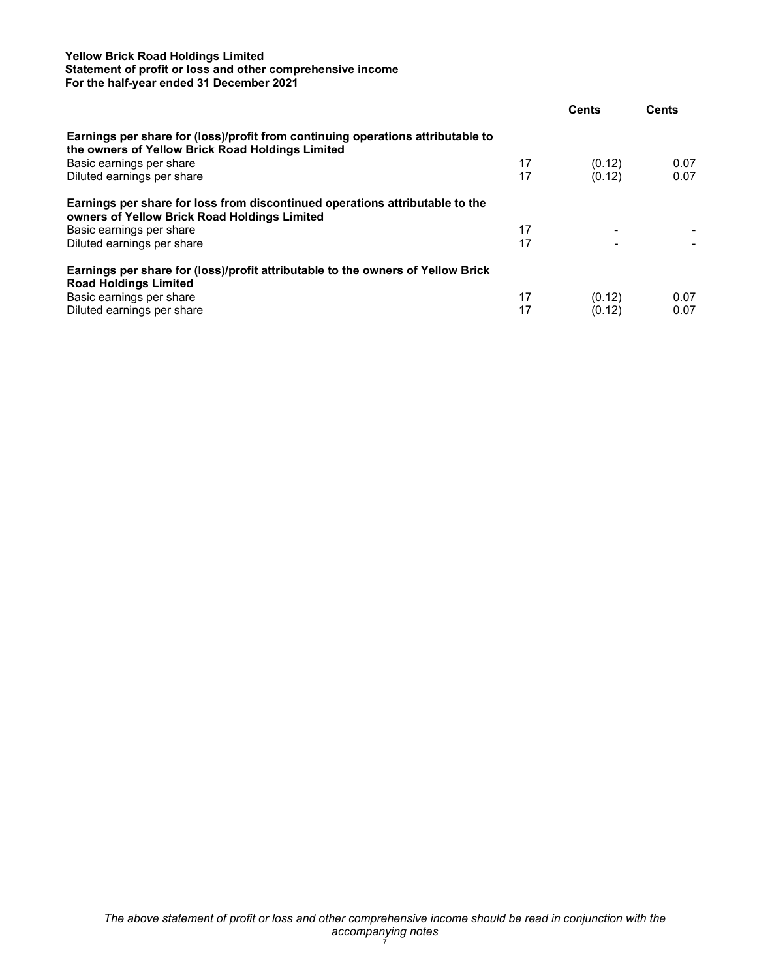#### **Yellow Brick Road Holdings Limited Statement of profit or loss and other comprehensive income For the half-year ended 31 December 2021**

|                                                                                                                                     |    | <b>Cents</b> | <b>Cents</b> |
|-------------------------------------------------------------------------------------------------------------------------------------|----|--------------|--------------|
| Earnings per share for (loss)/profit from continuing operations attributable to<br>the owners of Yellow Brick Road Holdings Limited |    |              |              |
| Basic earnings per share                                                                                                            | 17 | (0.12)       | 0.07         |
| Diluted earnings per share                                                                                                          | 17 | (0.12)       | 0.07         |
| Earnings per share for loss from discontinued operations attributable to the<br>owners of Yellow Brick Road Holdings Limited        |    |              |              |
| Basic earnings per share                                                                                                            | 17 |              |              |
| Diluted earnings per share                                                                                                          | 17 |              |              |
| Earnings per share for (loss)/profit attributable to the owners of Yellow Brick<br><b>Road Holdings Limited</b>                     |    |              |              |
| Basic earnings per share                                                                                                            | 17 | (0.12)       | 0.07         |
| Diluted earnings per share                                                                                                          | 17 | (0.12)       | 0.07         |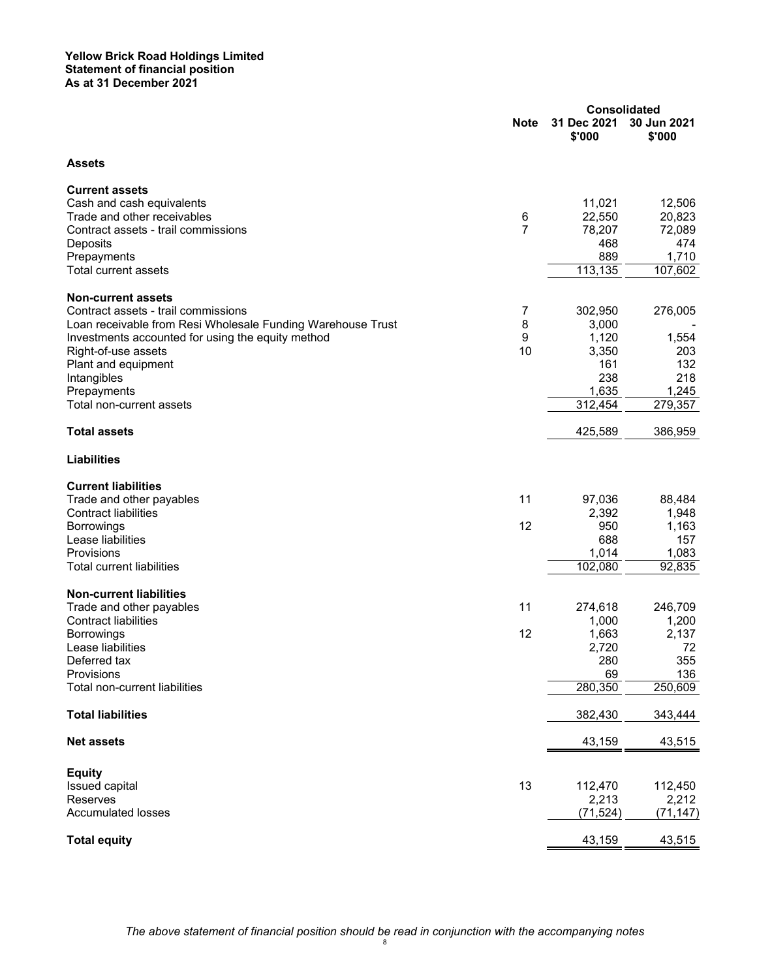|                                                             | <b>Consolidated</b> |                       |                       |
|-------------------------------------------------------------|---------------------|-----------------------|-----------------------|
|                                                             | <b>Note</b>         | 31 Dec 2021<br>\$'000 | 30 Jun 2021<br>\$'000 |
| <b>Assets</b>                                               |                     |                       |                       |
| <b>Current assets</b>                                       |                     |                       |                       |
| Cash and cash equivalents                                   |                     | 11,021                | 12,506                |
| Trade and other receivables                                 | 6                   | 22,550                | 20,823                |
| Contract assets - trail commissions                         | $\overline{7}$      | 78,207                | 72,089                |
| Deposits                                                    |                     | 468                   | 474                   |
| Prepayments                                                 |                     | 889                   | 1,710                 |
| <b>Total current assets</b>                                 |                     | 113,135               | 107,602               |
| <b>Non-current assets</b>                                   |                     |                       |                       |
| Contract assets - trail commissions                         | 7                   | 302,950               | 276,005               |
| Loan receivable from Resi Wholesale Funding Warehouse Trust | 8                   | 3,000                 |                       |
| Investments accounted for using the equity method           | 9                   | 1,120                 | 1,554                 |
| Right-of-use assets                                         | 10                  | 3,350                 | 203                   |
| Plant and equipment                                         |                     | 161                   | 132                   |
| Intangibles                                                 |                     | 238                   | 218                   |
| Prepayments                                                 |                     | 1,635                 | 1,245                 |
| Total non-current assets                                    |                     | 312,454               | 279,357               |
| <b>Total assets</b>                                         |                     | 425,589               | 386,959               |
| <b>Liabilities</b>                                          |                     |                       |                       |
| <b>Current liabilities</b>                                  |                     |                       |                       |
| Trade and other payables                                    | 11                  | 97,036                | 88,484                |
| <b>Contract liabilities</b>                                 |                     | 2,392                 | 1,948                 |
| Borrowings                                                  | 12                  | 950                   | 1,163                 |
| Lease liabilities                                           |                     | 688                   | 157                   |
| Provisions                                                  |                     | 1,014                 | 1,083                 |
| <b>Total current liabilities</b>                            |                     | 102,080               | 92,835                |
| <b>Non-current liabilities</b>                              |                     |                       |                       |
| Trade and other payables                                    | 11                  | 274,618               | 246,709               |
| <b>Contract liabilities</b>                                 |                     | 1,000                 | 1,200                 |
| Borrowings                                                  | 12                  | 1,663                 | 2,137                 |
| Lease liabilities                                           |                     | 2,720                 | 72                    |
| Deferred tax<br>Provisions                                  |                     | 280<br>69             | 355<br>136            |
| Total non-current liabilities                               |                     | 280,350               | 250,609               |
|                                                             |                     |                       |                       |
| <b>Total liabilities</b>                                    |                     | 382,430               | 343,444               |
| <b>Net assets</b>                                           |                     | 43,159                | 43,515                |
| <b>Equity</b>                                               |                     |                       |                       |
| Issued capital                                              | 13                  | 112,470               | 112,450               |
| Reserves                                                    |                     | 2,213                 | 2,212                 |
| <b>Accumulated losses</b>                                   |                     | (71, 524)             | (71, 147)             |
| <b>Total equity</b>                                         |                     | 43,159                | 43,515                |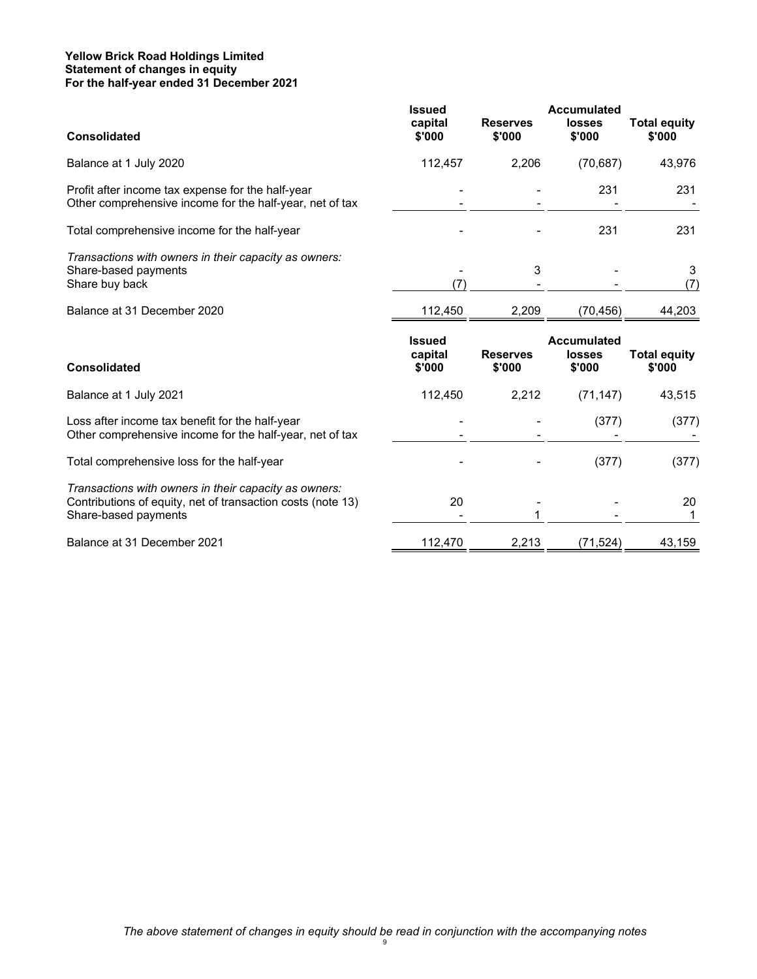#### **Yellow Brick Road Holdings Limited Statement of changes in equity For the half-year ended 31 December 2021**

| <b>Consolidated</b>                                                                                                                          | <b>Issued</b><br>capital<br>\$'000 | <b>Reserves</b><br>\$'000 | <b>Accumulated</b><br><b>losses</b><br>\$'000 | <b>Total equity</b><br>\$'000 |
|----------------------------------------------------------------------------------------------------------------------------------------------|------------------------------------|---------------------------|-----------------------------------------------|-------------------------------|
| Balance at 1 July 2020                                                                                                                       | 112,457                            | 2,206                     | (70, 687)                                     | 43,976                        |
| Profit after income tax expense for the half-year<br>Other comprehensive income for the half-year, net of tax                                |                                    |                           | 231                                           | 231                           |
| Total comprehensive income for the half-year                                                                                                 |                                    |                           | 231                                           | 231                           |
| Transactions with owners in their capacity as owners:<br>Share-based payments<br>Share buy back                                              | (7)                                | 3                         |                                               | 3<br>(7)                      |
| Balance at 31 December 2020                                                                                                                  | 112,450                            | 2,209                     | (70, 456)                                     | 44,203                        |
|                                                                                                                                              |                                    |                           |                                               |                               |
| <b>Consolidated</b>                                                                                                                          | <b>Issued</b><br>capital<br>\$'000 | <b>Reserves</b><br>\$'000 | <b>Accumulated</b><br><b>losses</b><br>\$'000 | <b>Total equity</b><br>\$'000 |
| Balance at 1 July 2021                                                                                                                       | 112,450                            | 2,212                     | (71, 147)                                     | 43,515                        |
| Loss after income tax benefit for the half-year<br>Other comprehensive income for the half-year, net of tax                                  |                                    |                           | (377)                                         |                               |
| Total comprehensive loss for the half-year                                                                                                   |                                    |                           | (377)                                         |                               |
| Transactions with owners in their capacity as owners:<br>Contributions of equity, net of transaction costs (note 13)<br>Share-based payments | 20                                 | 1                         |                                               | (377)<br>(377)<br>20          |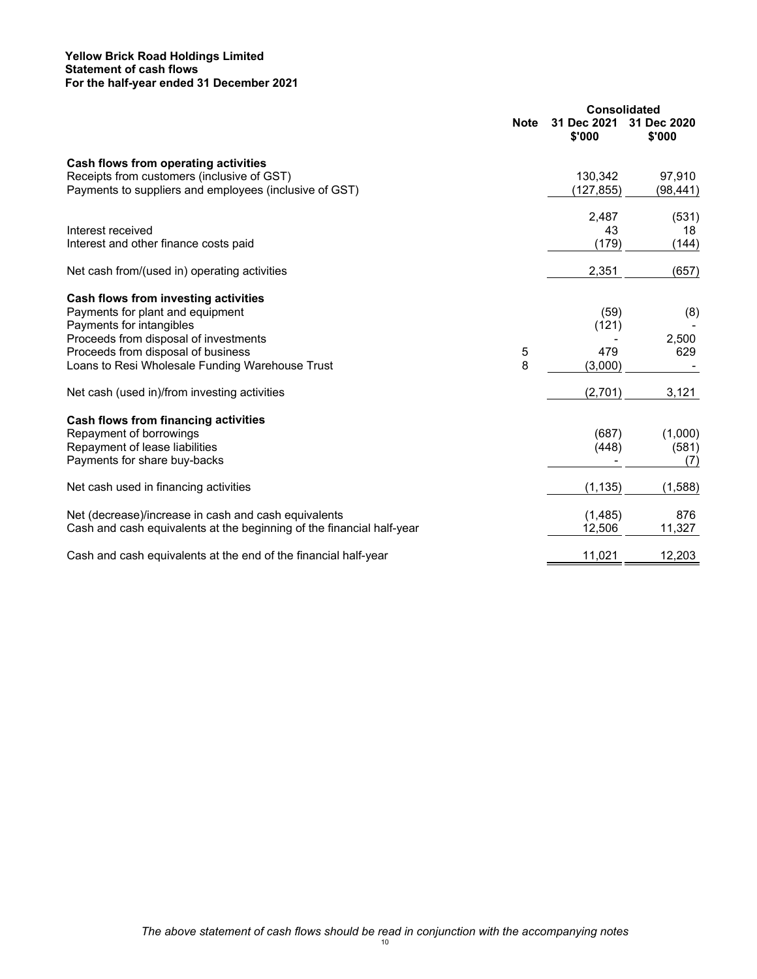#### **Yellow Brick Road Holdings Limited Statement of cash flows For the half-year ended 31 December 2021**

|                                                                       | <b>Consolidated</b> |                       |                       |
|-----------------------------------------------------------------------|---------------------|-----------------------|-----------------------|
|                                                                       | <b>Note</b>         | 31 Dec 2021<br>\$'000 | 31 Dec 2020<br>\$'000 |
| Cash flows from operating activities                                  |                     |                       |                       |
| Receipts from customers (inclusive of GST)                            |                     | 130,342               | 97,910                |
| Payments to suppliers and employees (inclusive of GST)                |                     | (127, 855)            | (98,441)              |
|                                                                       |                     | 2,487                 | (531)                 |
| Interest received                                                     |                     | 43                    | 18                    |
| Interest and other finance costs paid                                 |                     | (179)                 | (144)                 |
| Net cash from/(used in) operating activities                          |                     | 2,351                 | (657)                 |
| Cash flows from investing activities                                  |                     |                       |                       |
| Payments for plant and equipment                                      |                     | (59)                  | (8)                   |
| Payments for intangibles                                              |                     | (121)                 |                       |
| Proceeds from disposal of investments                                 |                     |                       | 2,500                 |
| Proceeds from disposal of business                                    | 5                   | 479                   | 629                   |
| Loans to Resi Wholesale Funding Warehouse Trust                       | 8                   | (3,000)               |                       |
| Net cash (used in)/from investing activities                          |                     | (2,701)               | 3,121                 |
| Cash flows from financing activities                                  |                     |                       |                       |
| Repayment of borrowings                                               |                     | (687)                 | (1,000)               |
| Repayment of lease liabilities                                        |                     | (448)                 | (581)                 |
| Payments for share buy-backs                                          |                     |                       | (7)                   |
| Net cash used in financing activities                                 |                     | (1, 135)              | (1,588)               |
| Net (decrease)/increase in cash and cash equivalents                  |                     | (1,485)               | 876                   |
| Cash and cash equivalents at the beginning of the financial half-year |                     | 12,506                | 11,327                |
| Cash and cash equivalents at the end of the financial half-year       |                     | 11,021                | 12,203                |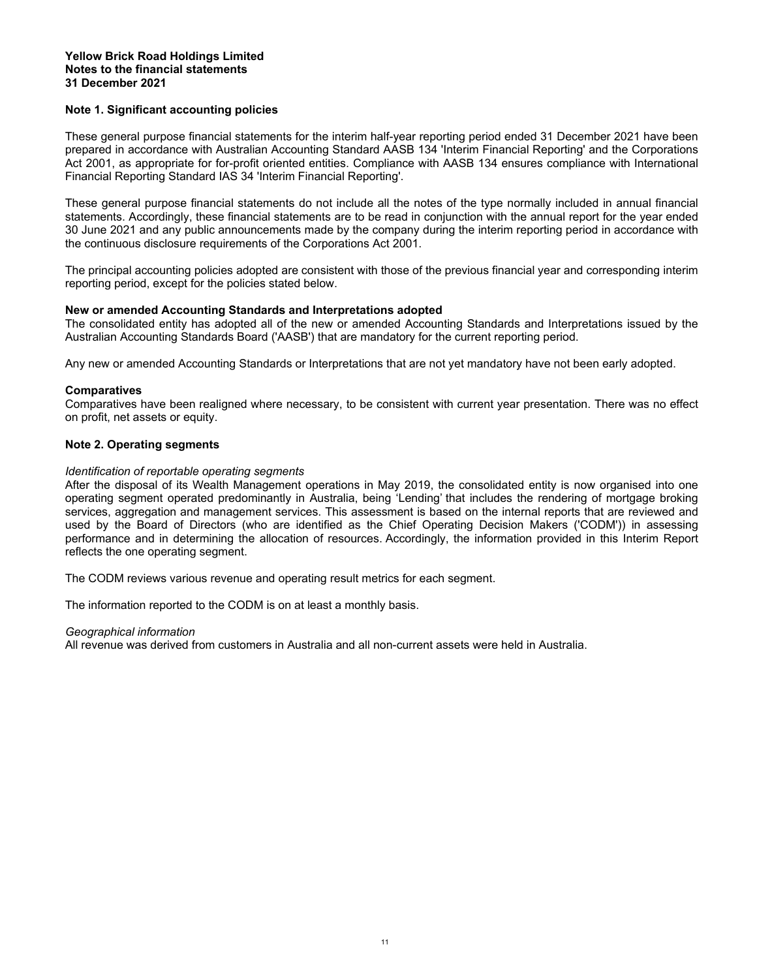#### **Yellow Brick Road Holdings Limited Notes to the financial statements 31 December 2021**

#### **Note 1. Significant accounting policies**

These general purpose financial statements for the interim half-year reporting period ended 31 December 2021 have been prepared in accordance with Australian Accounting Standard AASB 134 'Interim Financial Reporting' and the Corporations Act 2001, as appropriate for for-profit oriented entities. Compliance with AASB 134 ensures compliance with International Financial Reporting Standard IAS 34 'Interim Financial Reporting'.

These general purpose financial statements do not include all the notes of the type normally included in annual financial statements. Accordingly, these financial statements are to be read in conjunction with the annual report for the year ended 30 June 2021 and any public announcements made by the company during the interim reporting period in accordance with the continuous disclosure requirements of the Corporations Act 2001.

The principal accounting policies adopted are consistent with those of the previous financial year and corresponding interim reporting period, except for the policies stated below.

#### **New or amended Accounting Standards and Interpretations adopted**

The consolidated entity has adopted all of the new or amended Accounting Standards and Interpretations issued by the Australian Accounting Standards Board ('AASB') that are mandatory for the current reporting period.

Any new or amended Accounting Standards or Interpretations that are not yet mandatory have not been early adopted.

#### **Comparatives**

Comparatives have been realigned where necessary, to be consistent with current year presentation. There was no effect on profit, net assets or equity.

#### **Note 2. Operating segments**

#### *Identification of reportable operating segments*

After the disposal of its Wealth Management operations in May 2019, the consolidated entity is now organised into one operating segment operated predominantly in Australia, being 'Lending' that includes the rendering of mortgage broking services, aggregation and management services. This assessment is based on the internal reports that are reviewed and used by the Board of Directors (who are identified as the Chief Operating Decision Makers ('CODM')) in assessing performance and in determining the allocation of resources. Accordingly, the information provided in this Interim Report reflects the one operating segment.

The CODM reviews various revenue and operating result metrics for each segment.

The information reported to the CODM is on at least a monthly basis.

#### *Geographical information*

All revenue was derived from customers in Australia and all non-current assets were held in Australia.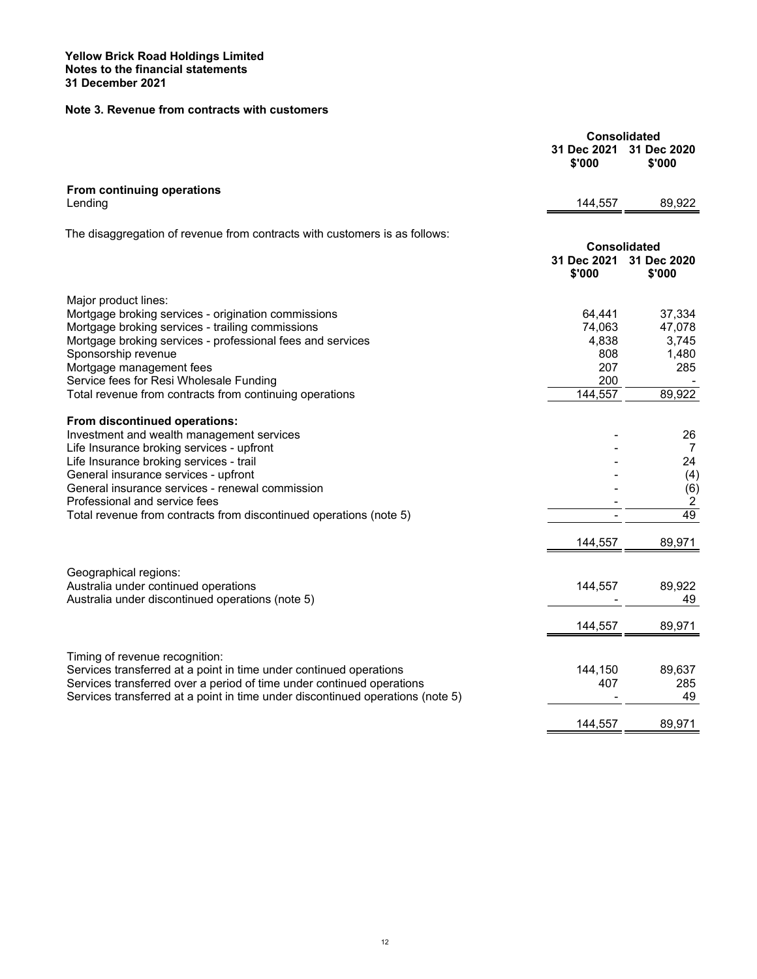## **Note 3. Revenue from contracts with customers**

|                                                                                                     |                       | <b>Consolidated</b>           |
|-----------------------------------------------------------------------------------------------------|-----------------------|-------------------------------|
|                                                                                                     | 31 Dec 2021<br>\$'000 | 31 Dec 2020<br>\$'000         |
| From continuing operations                                                                          |                       |                               |
| Lending                                                                                             | 144,557               | 89,922                        |
| The disaggregation of revenue from contracts with customers is as follows:                          |                       |                               |
|                                                                                                     |                       | <b>Consolidated</b>           |
|                                                                                                     | 31 Dec 2021<br>\$'000 | 31 Dec 2020<br>\$'000         |
| Major product lines:                                                                                |                       |                               |
| Mortgage broking services - origination commissions                                                 | 64,441                | 37,334                        |
| Mortgage broking services - trailing commissions                                                    | 74,063                | 47,078                        |
| Mortgage broking services - professional fees and services                                          | 4,838                 | 3,745                         |
| Sponsorship revenue                                                                                 | 808                   | 1,480                         |
| Mortgage management fees                                                                            | 207                   | 285                           |
| Service fees for Resi Wholesale Funding                                                             | 200                   |                               |
| Total revenue from contracts from continuing operations                                             | 144,557               | 89,922                        |
| From discontinued operations:                                                                       |                       |                               |
| Investment and wealth management services                                                           |                       | 26                            |
| Life Insurance broking services - upfront                                                           |                       | $\overline{7}$                |
| Life Insurance broking services - trail                                                             |                       | 24                            |
| General insurance services - upfront                                                                |                       | (4)                           |
| General insurance services - renewal commission                                                     |                       | (6)                           |
| Professional and service fees<br>Total revenue from contracts from discontinued operations (note 5) |                       | $\overline{\mathbf{c}}$<br>49 |
|                                                                                                     |                       |                               |
|                                                                                                     | 144,557               | 89,971                        |
| Geographical regions:                                                                               |                       |                               |
| Australia under continued operations                                                                | 144,557               | 89,922                        |
| Australia under discontinued operations (note 5)                                                    |                       | 49                            |
|                                                                                                     | 144,557               | 89,971                        |
|                                                                                                     |                       |                               |
| Timing of revenue recognition:                                                                      |                       |                               |
| Services transferred at a point in time under continued operations                                  | 144,150               | 89,637                        |
| Services transferred over a period of time under continued operations                               | 407                   | 285                           |
| Services transferred at a point in time under discontinued operations (note 5)                      |                       | 49                            |
|                                                                                                     | 144.557               | 89,971                        |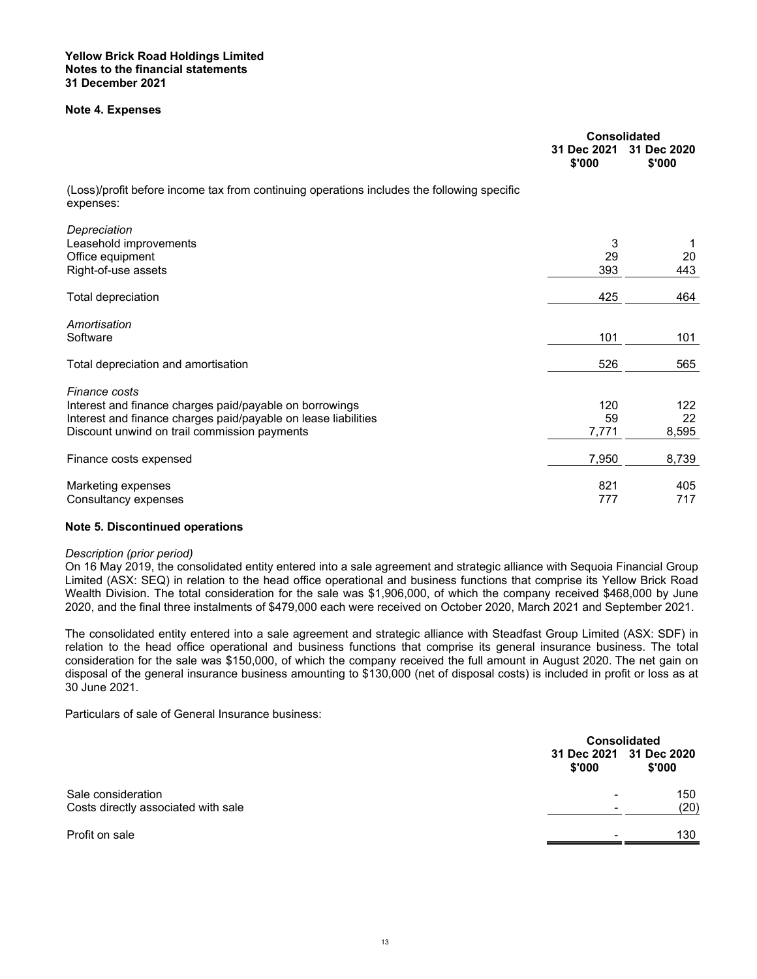#### **Note 4. Expenses**

|                                                                                                                                                                                            | <b>Consolidated</b><br>31 Dec 2021<br>\$'000 | 31 Dec 2020<br>\$'000 |
|--------------------------------------------------------------------------------------------------------------------------------------------------------------------------------------------|----------------------------------------------|-----------------------|
| (Loss)/profit before income tax from continuing operations includes the following specific<br>expenses:                                                                                    |                                              |                       |
| Depreciation<br>Leasehold improvements<br>Office equipment<br>Right-of-use assets                                                                                                          | 3<br>29<br>393                               | 1<br>20<br>443        |
| Total depreciation                                                                                                                                                                         | 425                                          | 464                   |
| Amortisation<br>Software                                                                                                                                                                   | 101                                          | 101                   |
| Total depreciation and amortisation                                                                                                                                                        | 526                                          | 565                   |
| Finance costs<br>Interest and finance charges paid/payable on borrowings<br>Interest and finance charges paid/payable on lease liabilities<br>Discount unwind on trail commission payments | 120<br>59<br>7,771                           | 122<br>22<br>8,595    |
| Finance costs expensed                                                                                                                                                                     | 7,950                                        | 8,739                 |
| Marketing expenses<br>Consultancy expenses                                                                                                                                                 | 821<br>777                                   | 405<br>717            |

#### **Note 5. Discontinued operations**

#### *Description (prior period)*

On 16 May 2019, the consolidated entity entered into a sale agreement and strategic alliance with Sequoia Financial Group Limited (ASX: SEQ) in relation to the head office operational and business functions that comprise its Yellow Brick Road Wealth Division. The total consideration for the sale was \$1,906,000, of which the company received \$468,000 by June 2020, and the final three instalments of \$479,000 each were received on October 2020, March 2021 and September 2021.

The consolidated entity entered into a sale agreement and strategic alliance with Steadfast Group Limited (ASX: SDF) in relation to the head office operational and business functions that comprise its general insurance business. The total consideration for the sale was \$150,000, of which the company received the full amount in August 2020. The net gain on disposal of the general insurance business amounting to \$130,000 (net of disposal costs) is included in profit or loss as at 30 June 2021.

Particulars of sale of General Insurance business:

|                                     |                                  | <b>Consolidated</b> |  |
|-------------------------------------|----------------------------------|---------------------|--|
|                                     | 31 Dec 2021 31 Dec 2020<br>\$000 | \$'000              |  |
| Sale consideration                  | -                                | 150                 |  |
| Costs directly associated with sale | -                                | (20)                |  |
| Profit on sale                      |                                  | 130                 |  |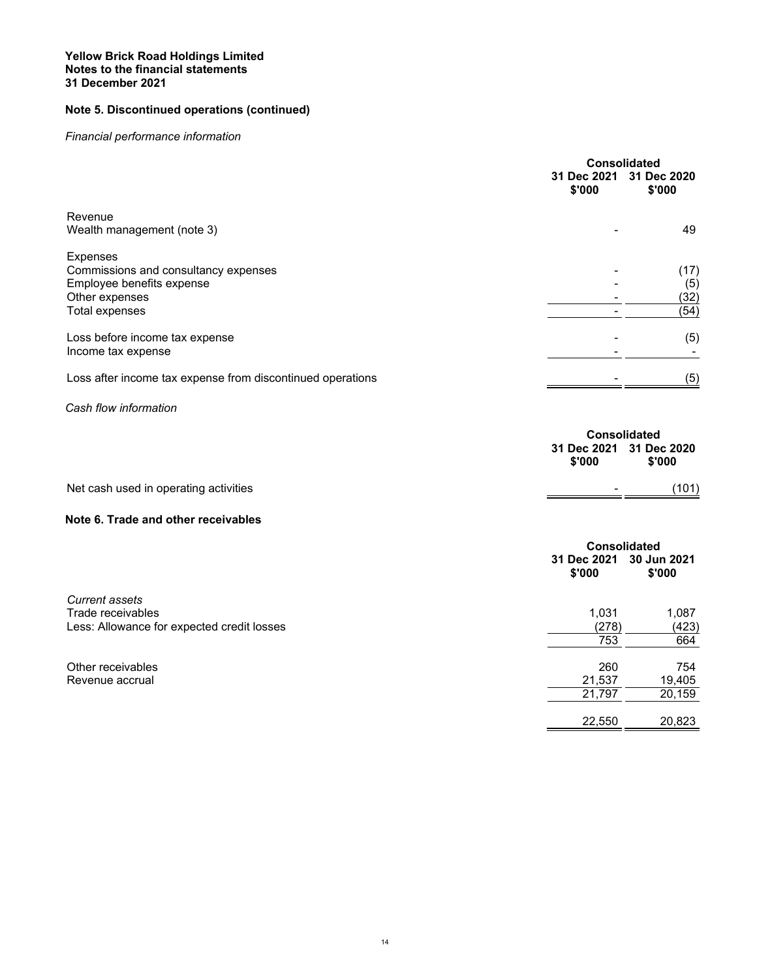#### **Yellow Brick Road Holdings Limited Notes to the financial statements 31 December 2021**

## **Note 5. Discontinued operations (continued)**

## *Financial performance information*

|                                                            |                       | <b>Consolidated</b>   |  |
|------------------------------------------------------------|-----------------------|-----------------------|--|
|                                                            | 31 Dec 2021<br>\$'000 | 31 Dec 2020<br>\$'000 |  |
| Revenue                                                    |                       |                       |  |
| Wealth management (note 3)                                 |                       | 49                    |  |
| Expenses                                                   |                       |                       |  |
| Commissions and consultancy expenses                       |                       | (17)                  |  |
| Employee benefits expense                                  |                       | (5)                   |  |
| Other expenses                                             |                       | (32)                  |  |
| <b>Total expenses</b>                                      |                       | (54)                  |  |
| Loss before income tax expense                             |                       | (5)                   |  |
| Income tax expense                                         |                       |                       |  |
| Loss after income tax expense from discontinued operations |                       | (5)                   |  |
| Cash flow information                                      |                       |                       |  |
|                                                            | <b>Consolidated</b>   |                       |  |
|                                                            | 31 Dec 2021<br>\$'000 | 31 Dec 2020<br>\$'000 |  |
| Net cash used in operating activities                      |                       | (101)                 |  |
|                                                            |                       |                       |  |
| Note 6. Trade and other receivables                        |                       |                       |  |
|                                                            | <b>Consolidated</b>   |                       |  |
|                                                            | 31 Dec 2021<br>\$'000 | 30 Jun 2021<br>\$'000 |  |
| <b>Current assets</b>                                      |                       |                       |  |
| Trade receivables                                          | 1,031                 | 1,087                 |  |
| Less: Allowance for expected credit losses                 | (278)                 | (423)                 |  |
|                                                            | 753                   | 664                   |  |
|                                                            |                       |                       |  |

| Other receivables | 260    | 754    |
|-------------------|--------|--------|
| Revenue accrual   | 21.537 | 19.405 |
|                   | 21.797 | 20.159 |
|                   |        |        |

22,550 20,823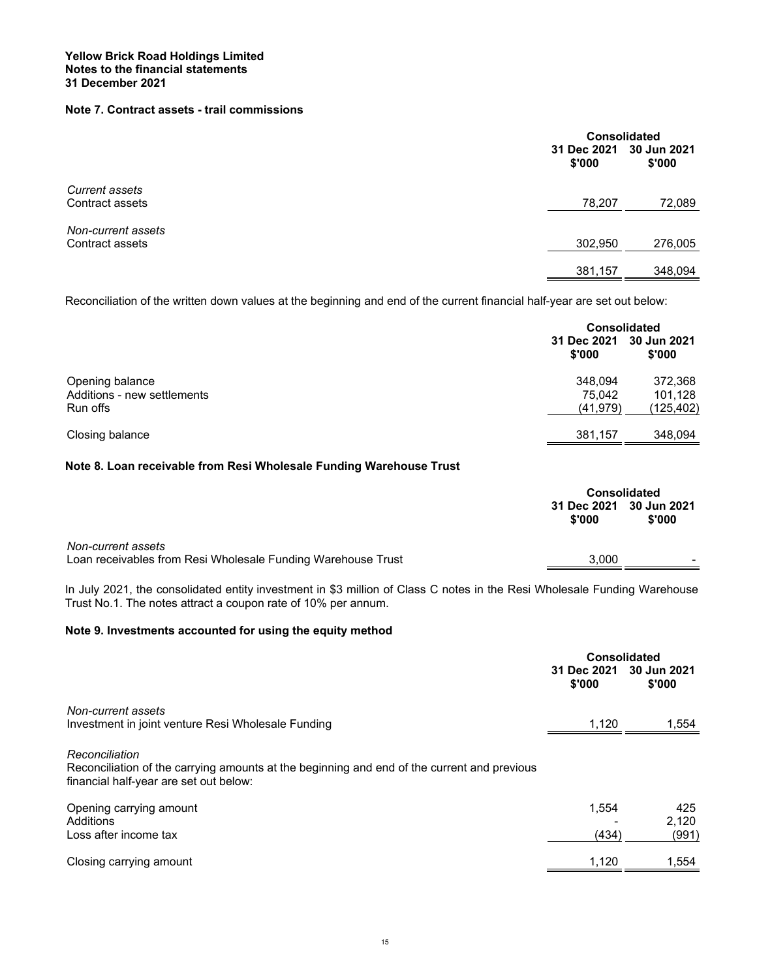## **Note 7. Contract assets - trail commissions**

|                                          | <b>Consolidated</b><br>30 Jun 2021<br>31 Dec 2021<br>\$'000<br>\$'000 |         |
|------------------------------------------|-----------------------------------------------------------------------|---------|
| <b>Current assets</b><br>Contract assets | 78,207                                                                | 72,089  |
| Non-current assets<br>Contract assets    | 302,950                                                               | 276,005 |
|                                          | 381,157                                                               | 348.094 |

Reconciliation of the written down values at the beginning and end of the current financial half-year are set out below:

|                                                            | <b>Consolidated</b>            |                                  |
|------------------------------------------------------------|--------------------------------|----------------------------------|
|                                                            | 31 Dec 2021<br>\$'000          | 30 Jun 2021<br>\$'000            |
| Opening balance<br>Additions - new settlements<br>Run offs | 348.094<br>75.042<br>(41, 979) | 372,368<br>101,128<br>(125, 402) |
| Closing balance                                            | 381,157                        | 348,094                          |

#### **Note 8. Loan receivable from Resi Wholesale Funding Warehouse Trust**

|        | <b>Consolidated</b>     |  |
|--------|-------------------------|--|
| \$'000 | \$'000                  |  |
| 3,000  |                         |  |
|        | 31 Dec 2021 30 Jun 2021 |  |

In July 2021, the consolidated entity investment in \$3 million of Class C notes in the Resi Wholesale Funding Warehouse Trust No.1. The notes attract a coupon rate of 10% per annum.

#### **Note 9. Investments accounted for using the equity method**

|                                                                                                                                                         | Consolidated          |                       |
|---------------------------------------------------------------------------------------------------------------------------------------------------------|-----------------------|-----------------------|
|                                                                                                                                                         | 31 Dec 2021<br>\$'000 | 30 Jun 2021<br>\$'000 |
| Non-current assets                                                                                                                                      |                       |                       |
| Investment in joint venture Resi Wholesale Funding                                                                                                      | 1,120                 | 1,554                 |
| Reconciliation<br>Reconciliation of the carrying amounts at the beginning and end of the current and previous<br>financial half-year are set out below: |                       |                       |
| Opening carrying amount                                                                                                                                 | 1,554                 | 425                   |
| Additions                                                                                                                                               |                       | 2.120                 |
| Loss after income tax                                                                                                                                   | (434)                 | (991)                 |
| Closing carrying amount                                                                                                                                 | 1,120                 | 1,554                 |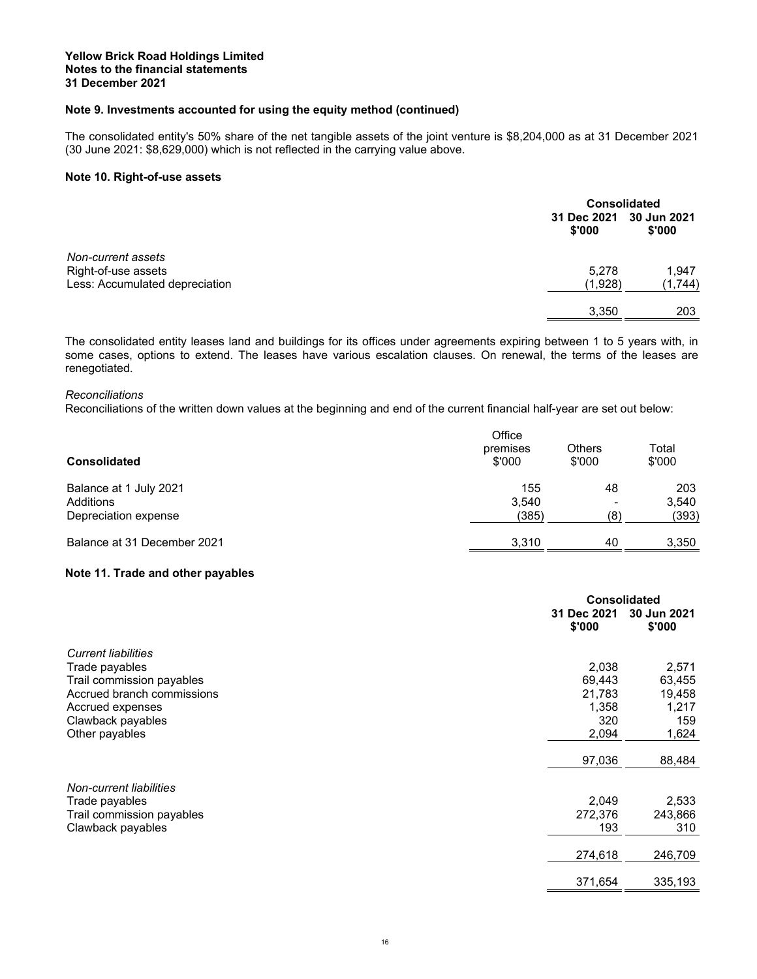#### **Note 9. Investments accounted for using the equity method (continued)**

The consolidated entity's 50% share of the net tangible assets of the joint venture is \$8,204,000 as at 31 December 2021 (30 June 2021: \$8,629,000) which is not reflected in the carrying value above.

#### **Note 10. Right-of-use assets**

|                                                       |                                   | <b>Consolidated</b> |  |
|-------------------------------------------------------|-----------------------------------|---------------------|--|
|                                                       | 31 Dec 2021 30 Jun 2021<br>\$'000 | \$'000              |  |
| Non-current assets                                    |                                   |                     |  |
| Right-of-use assets<br>Less: Accumulated depreciation | 5.278<br>(1,928)                  | 1,947<br>(1, 744)   |  |
|                                                       | 3,350                             | 203                 |  |

The consolidated entity leases land and buildings for its offices under agreements expiring between 1 to 5 years with, in some cases, options to extend. The leases have various escalation clauses. On renewal, the terms of the leases are renegotiated.

#### *Reconciliations*

Reconciliations of the written down values at the beginning and end of the current financial half-year are set out below:

| <b>Consolidated</b>         | Office<br>premises<br>\$'000 | <b>Others</b><br>\$'000 | Total<br>\$'000 |
|-----------------------------|------------------------------|-------------------------|-----------------|
| Balance at 1 July 2021      | 155                          | 48                      | 203             |
| Additions                   | 3.540                        | -                       | 3.540           |
| Depreciation expense        | (385)                        | (8)                     | (393)           |
| Balance at 31 December 2021 | 3.310                        | 40                      | 3,350           |

#### **Note 11. Trade and other payables**

|                            |                       | <b>Consolidated</b>   |  |
|----------------------------|-----------------------|-----------------------|--|
|                            | 31 Dec 2021<br>\$'000 | 30 Jun 2021<br>\$'000 |  |
| <b>Current liabilities</b> |                       |                       |  |
| Trade payables             | 2,038                 | 2,571                 |  |
| Trail commission payables  | 69,443                | 63,455                |  |
| Accrued branch commissions | 21,783                | 19,458                |  |
| Accrued expenses           | 1,358                 | 1,217                 |  |
| Clawback payables          | 320                   | 159                   |  |
| Other payables             | 2,094                 | 1,624                 |  |
|                            | 97,036                | 88,484                |  |
| Non-current liabilities    |                       |                       |  |
| Trade payables             | 2,049                 | 2,533                 |  |
| Trail commission payables  | 272,376               | 243,866               |  |
| Clawback payables          | 193                   | 310                   |  |
|                            | 274,618               | 246,709               |  |
|                            | 371,654               | 335,193               |  |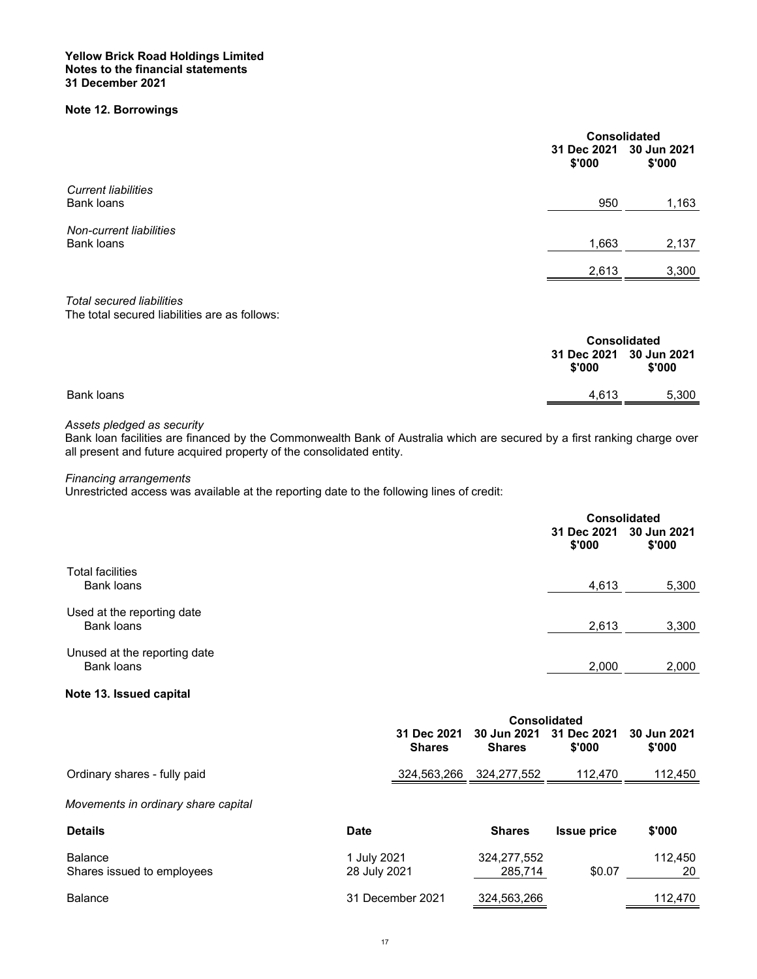#### **Yellow Brick Road Holdings Limited Notes to the financial statements 31 December 2021**

## **Note 12. Borrowings**

|                                                                                   | 31 Dec 2021<br>\$'000 | <b>Consolidated</b><br>30 Jun 2021<br>\$'000 |  |
|-----------------------------------------------------------------------------------|-----------------------|----------------------------------------------|--|
| <b>Current liabilities</b>                                                        |                       |                                              |  |
| Bank loans                                                                        | 950                   | 1,163                                        |  |
| Non-current liabilities                                                           |                       |                                              |  |
| <b>Bank loans</b>                                                                 | 1,663                 | 2,137                                        |  |
|                                                                                   | 2,613                 | 3,300                                        |  |
| <b>Total secured liabilities</b><br>The total secured liabilities are as follows: |                       |                                              |  |

|            |                                   | <b>Consolidated</b> |  |
|------------|-----------------------------------|---------------------|--|
|            | 31 Dec 2021 30 Jun 2021<br>\$'000 | \$'000              |  |
| Bank loans | 4.613                             | 5,300               |  |
|            |                                   |                     |  |

#### *Assets pledged as security*

Bank loan facilities are financed by the Commonwealth Bank of Australia which are secured by a first ranking charge over all present and future acquired property of the consolidated entity.

*Financing arrangements* 

Unrestricted access was available at the reporting date to the following lines of credit:

|                              |                                   | <b>Consolidated</b> |  |
|------------------------------|-----------------------------------|---------------------|--|
|                              | 31 Dec 2021 30 Jun 2021<br>\$'000 | \$'000              |  |
| <b>Total facilities</b>      |                                   |                     |  |
| <b>Bank loans</b>            | 4,613                             | 5,300               |  |
| Used at the reporting date   |                                   |                     |  |
| <b>Bank loans</b>            | 2,613                             | 3,300               |  |
| Unused at the reporting date |                                   |                     |  |
| <b>Bank loans</b>            | 2,000                             | 2,000               |  |
|                              |                                   |                     |  |

## **Note 13. Issued capital**

|                              | <b>Consolidated</b> |                                                                  |         |         |
|------------------------------|---------------------|------------------------------------------------------------------|---------|---------|
|                              | <b>Shares</b>       | 31 Dec 2021 30 Jun 2021 31 Dec 2021 30 Jun 2021<br><b>Shares</b> | \$'000  | \$'000  |
| Ordinary shares - fully paid |                     | 324,563,266 324,277,552                                          | 112,470 | 112.450 |
|                              |                     |                                                                  |         |         |

## *Movements in ordinary share capital*

| <b>Details</b>                        | Date                        | <b>Shares</b>          | <b>Issue price</b> | \$'000        |
|---------------------------------------|-----------------------------|------------------------|--------------------|---------------|
| Balance<br>Shares issued to employees | 1 July 2021<br>28 July 2021 | 324,277,552<br>285,714 | \$0.07             | 112.450<br>20 |
| Balance                               | 31 December 2021            | 324,563,266            |                    | 112.470       |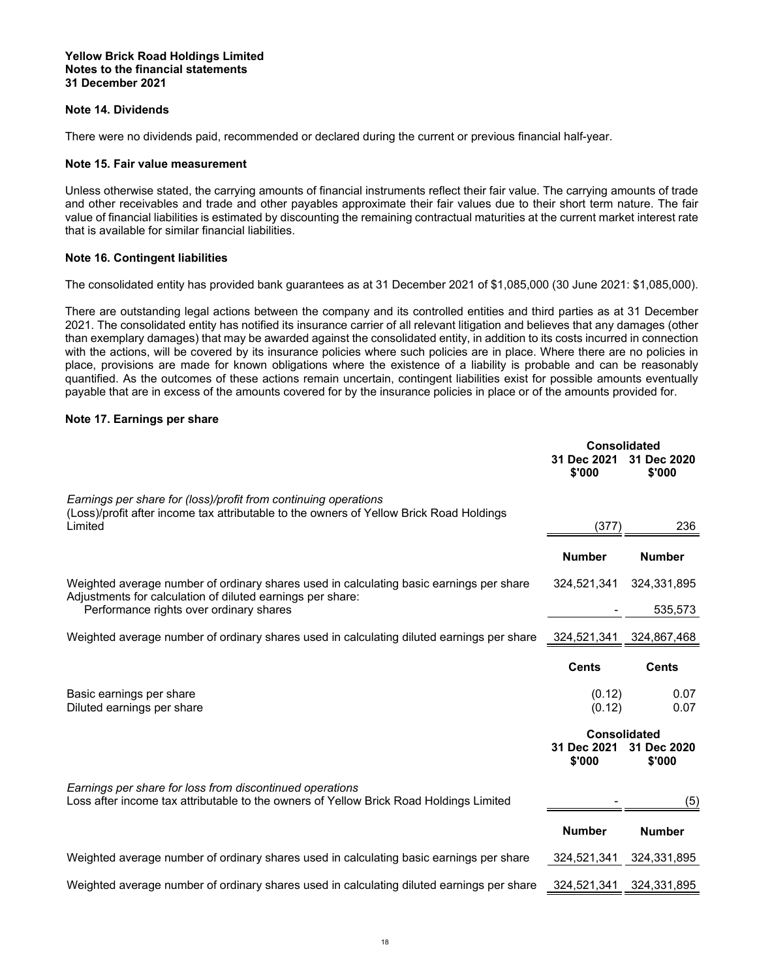#### **Note 14. Dividends**

There were no dividends paid, recommended or declared during the current or previous financial half-year.

#### **Note 15. Fair value measurement**

Unless otherwise stated, the carrying amounts of financial instruments reflect their fair value. The carrying amounts of trade and other receivables and trade and other payables approximate their fair values due to their short term nature. The fair value of financial liabilities is estimated by discounting the remaining contractual maturities at the current market interest rate that is available for similar financial liabilities.

#### **Note 16. Contingent liabilities**

The consolidated entity has provided bank guarantees as at 31 December 2021 of \$1,085,000 (30 June 2021: \$1,085,000).

There are outstanding legal actions between the company and its controlled entities and third parties as at 31 December 2021. The consolidated entity has notified its insurance carrier of all relevant litigation and believes that any damages (other than exemplary damages) that may be awarded against the consolidated entity, in addition to its costs incurred in connection with the actions, will be covered by its insurance policies where such policies are in place. Where there are no policies in place, provisions are made for known obligations where the existence of a liability is probable and can be reasonably quantified. As the outcomes of these actions remain uncertain, contingent liabilities exist for possible amounts eventually payable that are in excess of the amounts covered for by the insurance policies in place or of the amounts provided for.

#### **Note 17. Earnings per share**

|                                                                                                                                                                       | <b>Consolidated</b><br>31 Dec 2021<br>\$'000 | 31 Dec 2020<br>\$'000   |
|-----------------------------------------------------------------------------------------------------------------------------------------------------------------------|----------------------------------------------|-------------------------|
| Earnings per share for (loss)/profit from continuing operations<br>(Loss)/profit after income tax attributable to the owners of Yellow Brick Road Holdings<br>Limited | (377                                         | 236                     |
|                                                                                                                                                                       | <b>Number</b>                                | <b>Number</b>           |
| Weighted average number of ordinary shares used in calculating basic earnings per share                                                                               | 324,521,341                                  | 324,331,895             |
| Adjustments for calculation of diluted earnings per share:<br>Performance rights over ordinary shares                                                                 |                                              | 535,573                 |
| Weighted average number of ordinary shares used in calculating diluted earnings per share                                                                             |                                              | 324,521,341 324,867,468 |
|                                                                                                                                                                       | <b>Cents</b>                                 | <b>Cents</b>            |
| Basic earnings per share<br>Diluted earnings per share                                                                                                                | (0.12)<br>(0.12)                             | 0.07<br>0.07            |
|                                                                                                                                                                       | Consolidated<br>31 Dec 2021<br>\$'000        | 31 Dec 2020<br>\$'000   |
| Earnings per share for loss from discontinued operations<br>Loss after income tax attributable to the owners of Yellow Brick Road Holdings Limited                    |                                              | (5)                     |
|                                                                                                                                                                       | <b>Number</b>                                | <b>Number</b>           |
| Weighted average number of ordinary shares used in calculating basic earnings per share                                                                               | 324,521,341                                  | 324,331,895             |
| Weighted average number of ordinary shares used in calculating diluted earnings per share                                                                             | 324,521,341                                  | 324,331,895             |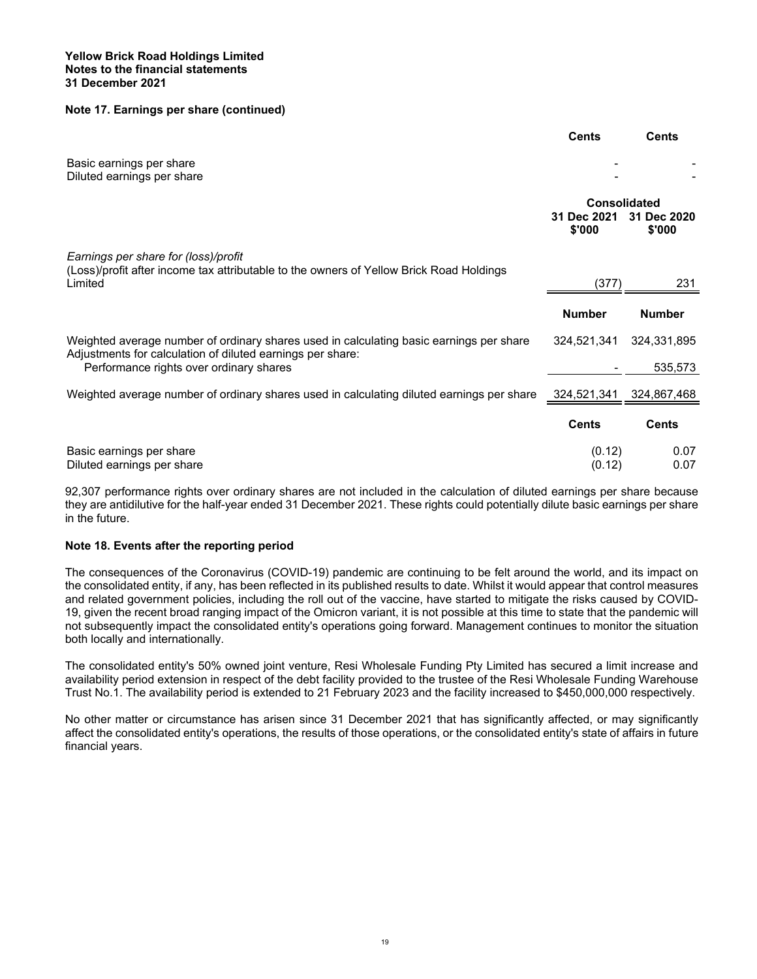#### **Note 17. Earnings per share (continued)**

|                                                                                                                                                       | <b>Cents</b>                                 | <b>Cents</b>          |
|-------------------------------------------------------------------------------------------------------------------------------------------------------|----------------------------------------------|-----------------------|
| Basic earnings per share<br>Diluted earnings per share                                                                                                |                                              |                       |
|                                                                                                                                                       | <b>Consolidated</b><br>31 Dec 2021<br>\$'000 | 31 Dec 2020<br>\$'000 |
| Earnings per share for (loss)/profit<br>(Loss)/profit after income tax attributable to the owners of Yellow Brick Road Holdings<br>Limited            | (377)                                        | 231                   |
|                                                                                                                                                       | <b>Number</b>                                | <b>Number</b>         |
| Weighted average number of ordinary shares used in calculating basic earnings per share<br>Adjustments for calculation of diluted earnings per share: | 324,521,341                                  | 324,331,895           |
| Performance rights over ordinary shares                                                                                                               |                                              | 535,573               |
| Weighted average number of ordinary shares used in calculating diluted earnings per share                                                             | 324,521,341                                  | 324,867,468           |
|                                                                                                                                                       | <b>Cents</b>                                 | <b>Cents</b>          |
| Basic earnings per share<br>Diluted earnings per share                                                                                                | (0.12)<br>(0.12)                             | 0.07<br>0.07          |

92,307 performance rights over ordinary shares are not included in the calculation of diluted earnings per share because they are antidilutive for the half-year ended 31 December 2021. These rights could potentially dilute basic earnings per share in the future.

#### **Note 18. Events after the reporting period**

The consequences of the Coronavirus (COVID-19) pandemic are continuing to be felt around the world, and its impact on the consolidated entity, if any, has been reflected in its published results to date. Whilst it would appear that control measures and related government policies, including the roll out of the vaccine, have started to mitigate the risks caused by COVID-19, given the recent broad ranging impact of the Omicron variant, it is not possible at this time to state that the pandemic will not subsequently impact the consolidated entity's operations going forward. Management continues to monitor the situation both locally and internationally.

The consolidated entity's 50% owned joint venture, Resi Wholesale Funding Pty Limited has secured a limit increase and availability period extension in respect of the debt facility provided to the trustee of the Resi Wholesale Funding Warehouse Trust No.1. The availability period is extended to 21 February 2023 and the facility increased to \$450,000,000 respectively.

No other matter or circumstance has arisen since 31 December 2021 that has significantly affected, or may significantly affect the consolidated entity's operations, the results of those operations, or the consolidated entity's state of affairs in future financial years.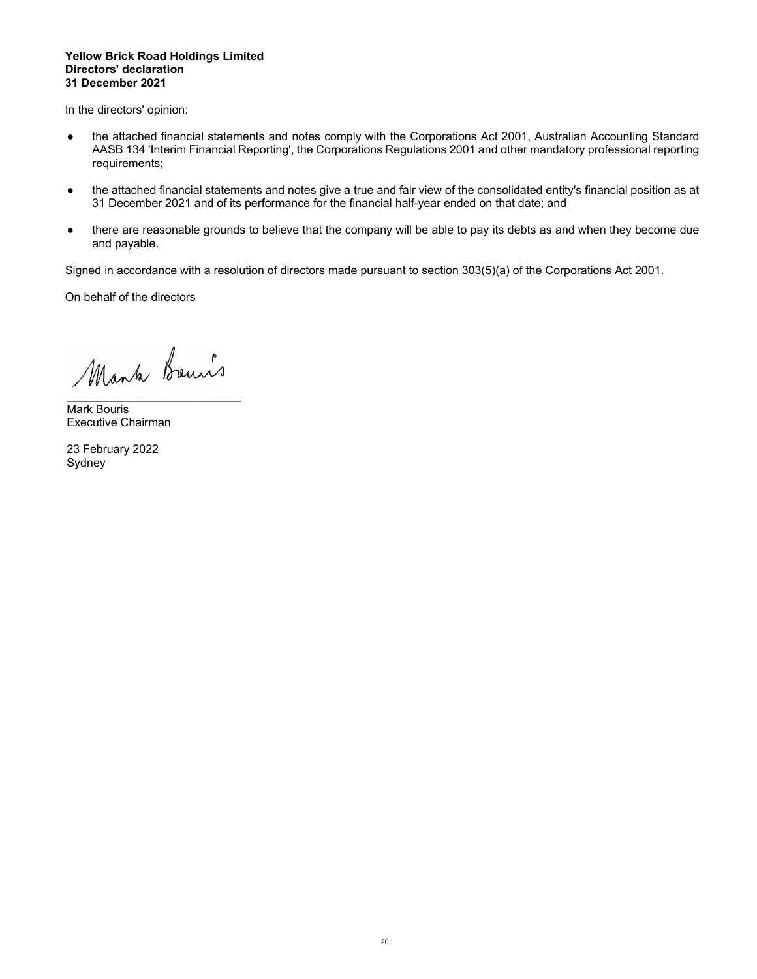#### **Yellow Brick Road Holdings Limited Directors' declaration 31 December 2021**

In the directors' opinion:

- the attached financial statements and notes comply with the Corporations Act 2001, Australian Accounting Standard AASB 134 'Interim Financial Reporting', the Corporations Regulations 2001 and other mandatory professional reporting requirements;
- the attached financial statements and notes give a true and fair view of the consolidated entity's financial position as at 31 December 2021 and of its performance for the financial half-year ended on that date; and
- there are reasonable grounds to believe that the company will be able to pay its debts as and when they become due and payable.

Signed in accordance with a resolution of directors made pursuant to section 303(5)(a) of the Corporations Act 2001.

On behalf of the directors

Mank Bours

 $\mathcal{L}_\text{max}$  , where  $\mathcal{L}_\text{max}$  and  $\mathcal{L}_\text{max}$  and  $\mathcal{L}_\text{max}$ 

Mark Bouris Executive Chairman

23 February 2022 Sydney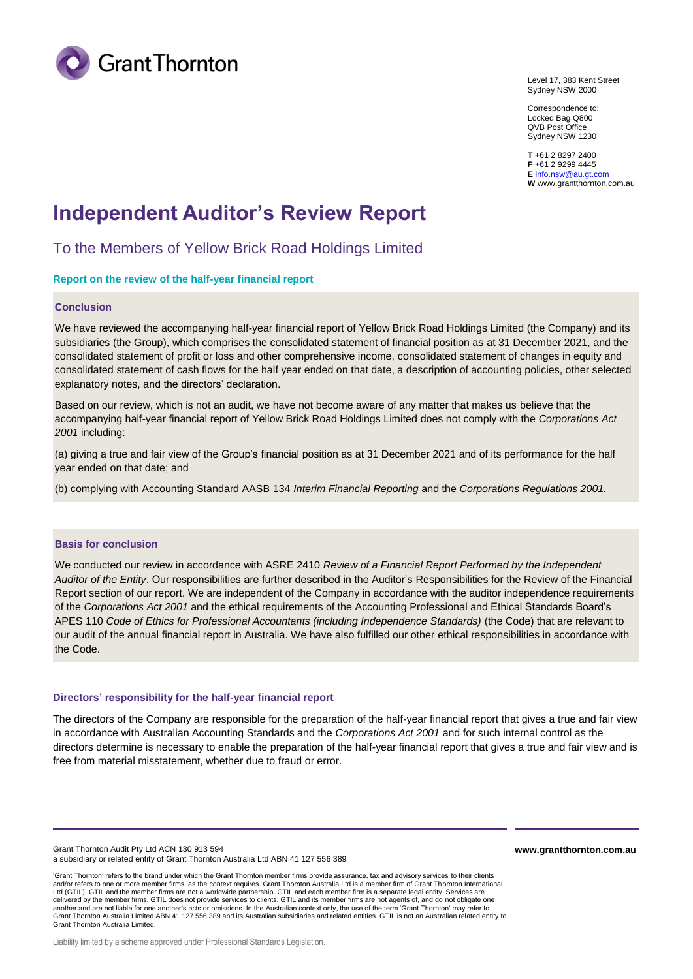

Level 17, 383 Kent Street Sydney NSW 2000

Correspondence to: Locked Bag Q800 QVB Post Office Sydney NSW 1230

**T** +61 2 8297 2400 **F** +61 2 9299 4445 **E** [info.nsw@au.gt.com](mailto:info.nsw@au.gt.com) **W** www.grantthornton.com.au

## **Independent Auditor's Review Report**

To the Members of Yellow Brick Road Holdings Limited

#### **Report on the review of the half-year financial report**

#### **Conclusion**

We have reviewed the accompanying half-year financial report of Yellow Brick Road Holdings Limited (the Company) and its subsidiaries (the Group), which comprises the consolidated statement of financial position as at 31 December 2021, and the consolidated statement of profit or loss and other comprehensive income, consolidated statement of changes in equity and consolidated statement of cash flows for the half year ended on that date, a description of accounting policies, other selected explanatory notes, and the directors' declaration.

Based on our review, which is not an audit, we have not become aware of any matter that makes us believe that the accompanying half-year financial report of Yellow Brick Road Holdings Limited does not comply with the *Corporations Act 2001* including:

(a) giving a true and fair view of the Group's financial position as at 31 December 2021 and of its performance for the half year ended on that date; and

(b) complying with Accounting Standard AASB 134 *Interim Financial Reporting* and the *Corporations Regulations 2001.*

#### **Basis for conclusion**

We conducted our review in accordance with ASRE 2410 *Review of a Financial Report Performed by the Independent Auditor of the Entity*. Our responsibilities are further described in the Auditor's Responsibilities for the Review of the Financial Report section of our report. We are independent of the Company in accordance with the auditor independence requirements of the *Corporations Act 2001* and the ethical requirements of the Accounting Professional and Ethical Standards Board's APES 110 *Code of Ethics for Professional Accountants (including Independence Standards)* (the Code) that are relevant to our audit of the annual financial report in Australia. We have also fulfilled our other ethical responsibilities in accordance with the Code.

#### **Directors' responsibility for the half-year financial report**

The directors of the Company are responsible for the preparation of the half-year financial report that gives a true and fair view in accordance with Australian Accounting Standards and the *Corporations Act 2001* and for such internal control as the directors determine is necessary to enable the preparation of the half-year financial report that gives a true and fair view and is free from material misstatement, whether due to fraud or error.

Grant Thornton Audit Pty Ltd ACN 130 913 594 a subsidiary or related entity of Grant Thornton Australia Ltd ABN 41 127 556 389 **www.grantthornton.com.au**

'Grant Thornton' refers to the brand under which the Grant Thornton member firms provide assurance, tax and advisory services to their clients and/or refers to one or more member firms, as the context requires. Grant Thornton Australia Ltd is a member firm of Grant Thornton International Ltd (GTIL). GTIL and the member firms are not a worldwide partnership. GTIL and each member firm is a separate legal entity. Services are delivered by the member firms. GTIL does not provide services to clients. GTIL and its member firms are not agents of, and do not obligate one another and are not liable for one another's acts or omissions. In the Australian context only, the use of the term 'Grant Thornton' may refer to Grant Thornton Australia Limited ABN 41 127 556 389 and its Australian subsidiaries and related entities. GTIL is not an Australian related entity to Grant Thornton Australia Limited.